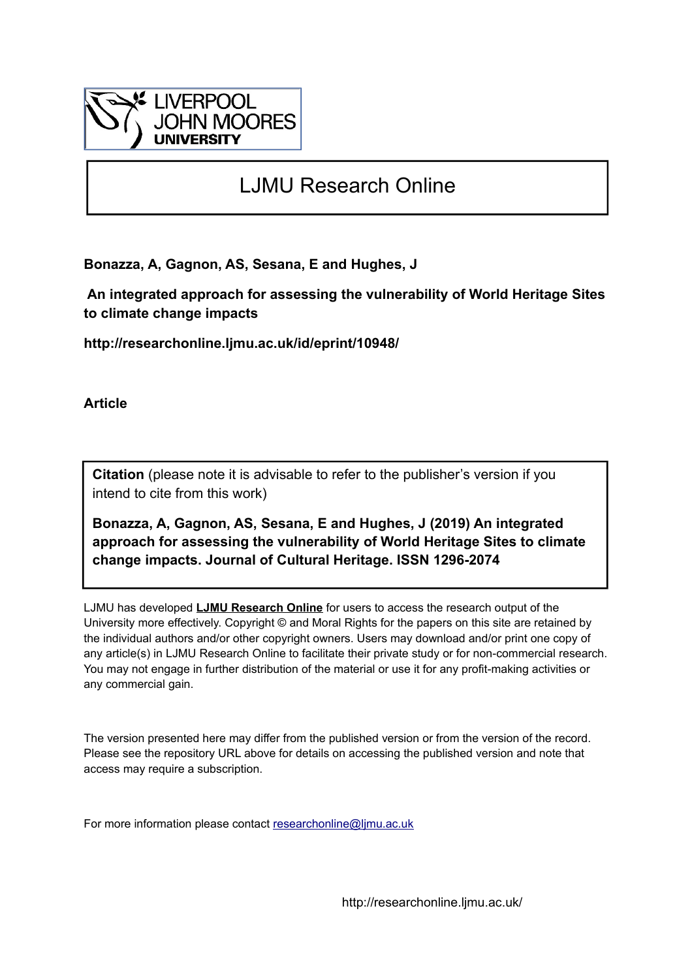

# LJMU Research Online

**Bonazza, A, Gagnon, AS, Sesana, E and Hughes, J**

 **An integrated approach for assessing the vulnerability of World Heritage Sites to climate change impacts**

**http://researchonline.ljmu.ac.uk/id/eprint/10948/**

**Article**

**Citation** (please note it is advisable to refer to the publisher's version if you intend to cite from this work)

**Bonazza, A, Gagnon, AS, Sesana, E and Hughes, J (2019) An integrated approach for assessing the vulnerability of World Heritage Sites to climate change impacts. Journal of Cultural Heritage. ISSN 1296-2074** 

LJMU has developed **[LJMU Research Online](http://researchonline.ljmu.ac.uk/)** for users to access the research output of the University more effectively. Copyright © and Moral Rights for the papers on this site are retained by the individual authors and/or other copyright owners. Users may download and/or print one copy of any article(s) in LJMU Research Online to facilitate their private study or for non-commercial research. You may not engage in further distribution of the material or use it for any profit-making activities or any commercial gain.

The version presented here may differ from the published version or from the version of the record. Please see the repository URL above for details on accessing the published version and note that access may require a subscription.

For more information please contact [researchonline@ljmu.ac.uk](mailto:researchonline@ljmu.ac.uk)

http://researchonline.ljmu.ac.uk/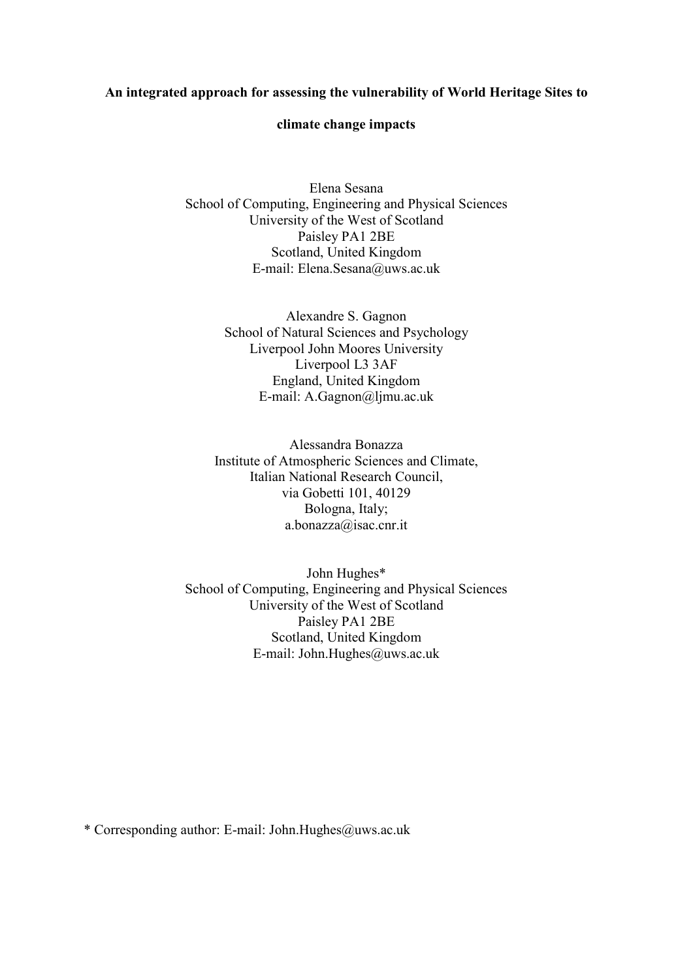#### **An integrated approach for assessing the vulnerability of World Heritage Sites to**

#### **climate change impacts**

Elena Sesana School of Computing, Engineering and Physical Sciences University of the West of Scotland Paisley PA1 2BE Scotland, United Kingdom E-mail: Elena.Sesana@uws.ac.uk

> Alexandre S. Gagnon School of Natural Sciences and Psychology Liverpool John Moores University Liverpool L3 3AF England, United Kingdom E-mail: A.Gagnon@ljmu.ac.uk

Alessandra Bonazza Institute of Atmospheric Sciences and Climate, Italian National Research Council, via Gobetti 101, 40129 Bologna, Italy; a.bonazza@isac.cnr.it

John Hughes\* School of Computing, Engineering and Physical Sciences University of the West of Scotland Paisley PA1 2BE Scotland, United Kingdom E-mail: John.Hughes@uws.ac.uk

\* Corresponding author: E-mail: John.Hughes@uws.ac.uk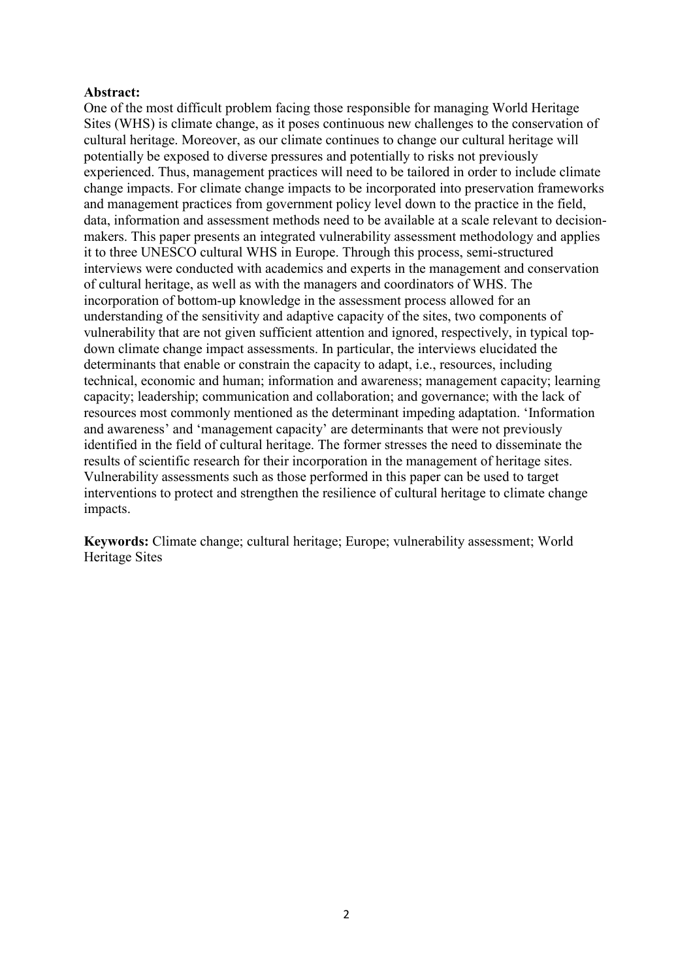#### **Abstract:**

One of the most difficult problem facing those responsible for managing World Heritage Sites (WHS) is climate change, as it poses continuous new challenges to the conservation of cultural heritage. Moreover, as our climate continues to change our cultural heritage will potentially be exposed to diverse pressures and potentially to risks not previously experienced. Thus, management practices will need to be tailored in order to include climate change impacts. For climate change impacts to be incorporated into preservation frameworks and management practices from government policy level down to the practice in the field, data, information and assessment methods need to be available at a scale relevant to decisionmakers. This paper presents an integrated vulnerability assessment methodology and applies it to three UNESCO cultural WHS in Europe. Through this process, semi-structured interviews were conducted with academics and experts in the management and conservation of cultural heritage, as well as with the managers and coordinators of WHS. The incorporation of bottom-up knowledge in the assessment process allowed for an understanding of the sensitivity and adaptive capacity of the sites, two components of vulnerability that are not given sufficient attention and ignored, respectively, in typical topdown climate change impact assessments. In particular, the interviews elucidated the determinants that enable or constrain the capacity to adapt, i.e., resources, including technical, economic and human; information and awareness; management capacity; learning capacity; leadership; communication and collaboration; and governance; with the lack of resources most commonly mentioned as the determinant impeding adaptation. 'Information and awareness' and 'management capacity' are determinants that were not previously identified in the field of cultural heritage. The former stresses the need to disseminate the results of scientific research for their incorporation in the management of heritage sites. Vulnerability assessments such as those performed in this paper can be used to target interventions to protect and strengthen the resilience of cultural heritage to climate change impacts.

**Keywords:** Climate change; cultural heritage; Europe; vulnerability assessment; World Heritage Sites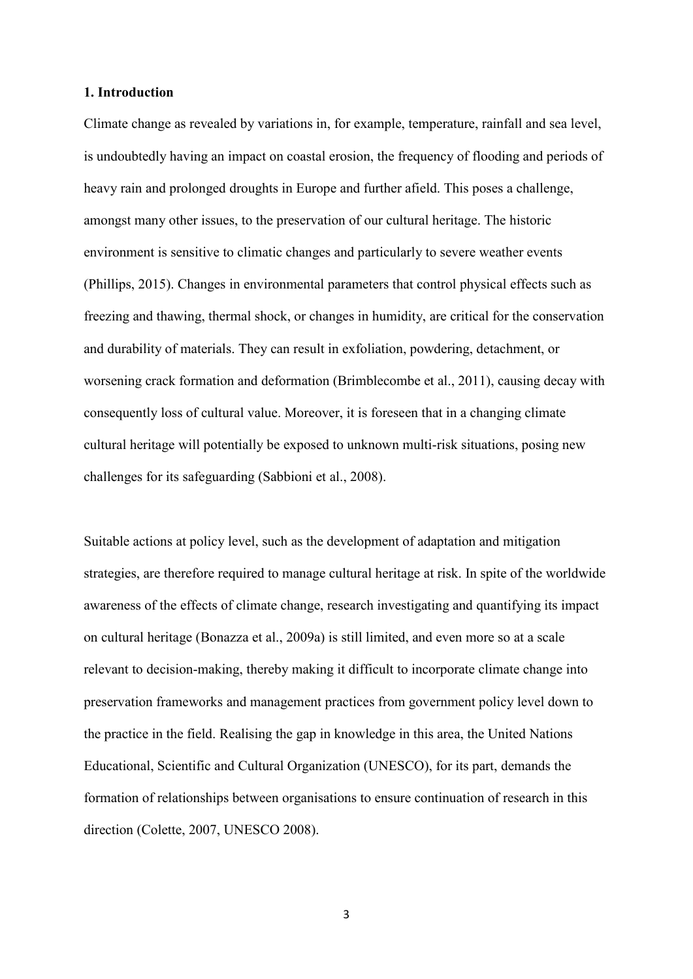#### **1. Introduction**

Climate change as revealed by variations in, for example, temperature, rainfall and sea level, is undoubtedly having an impact on coastal erosion, the frequency of flooding and periods of heavy rain and prolonged droughts in Europe and further afield. This poses a challenge, amongst many other issues, to the preservation of our cultural heritage. The historic environment is sensitive to climatic changes and particularly to severe weather events (Phillips, 2015). Changes in environmental parameters that control physical effects such as freezing and thawing, thermal shock, or changes in humidity, are critical for the conservation and durability of materials. They can result in exfoliation, powdering, detachment, or worsening crack formation and deformation (Brimblecombe et al., 2011), causing decay with consequently loss of cultural value. Moreover, it is foreseen that in a changing climate cultural heritage will potentially be exposed to unknown multi-risk situations, posing new challenges for its safeguarding (Sabbioni et al., 2008).

Suitable actions at policy level, such as the development of adaptation and mitigation strategies, are therefore required to manage cultural heritage at risk. In spite of the worldwide awareness of the effects of climate change, research investigating and quantifying its impact on cultural heritage (Bonazza et al., 2009a) is still limited, and even more so at a scale relevant to decision-making, thereby making it difficult to incorporate climate change into preservation frameworks and management practices from government policy level down to the practice in the field. Realising the gap in knowledge in this area, the United Nations Educational, Scientific and Cultural Organization (UNESCO), for its part, demands the formation of relationships between organisations to ensure continuation of research in this direction (Colette, 2007, UNESCO 2008).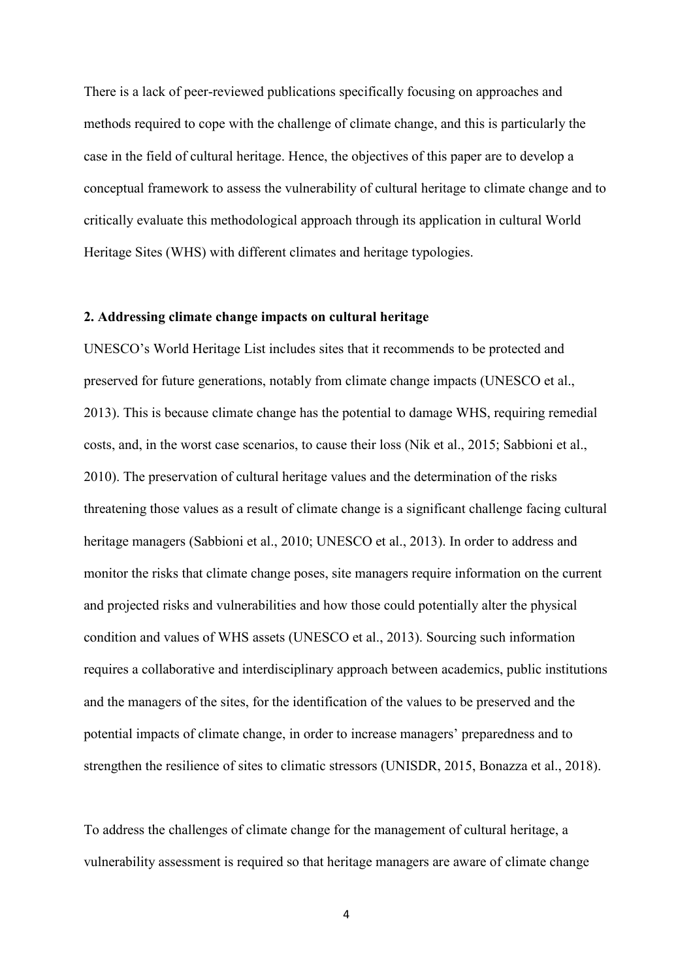There is a lack of peer-reviewed publications specifically focusing on approaches and methods required to cope with the challenge of climate change, and this is particularly the case in the field of cultural heritage. Hence, the objectives of this paper are to develop a conceptual framework to assess the vulnerability of cultural heritage to climate change and to critically evaluate this methodological approach through its application in cultural World Heritage Sites (WHS) with different climates and heritage typologies.

#### **2. Addressing climate change impacts on cultural heritage**

UNESCO's World Heritage List includes sites that it recommends to be protected and preserved for future generations, notably from climate change impacts (UNESCO et al., 2013). This is because climate change has the potential to damage WHS, requiring remedial costs, and, in the worst case scenarios, to cause their loss (Nik et al., 2015; Sabbioni et al., 2010). The preservation of cultural heritage values and the determination of the risks threatening those values as a result of climate change is a significant challenge facing cultural heritage managers (Sabbioni et al., 2010; UNESCO et al., 2013). In order to address and monitor the risks that climate change poses, site managers require information on the current and projected risks and vulnerabilities and how those could potentially alter the physical condition and values of WHS assets (UNESCO et al., 2013). Sourcing such information requires a collaborative and interdisciplinary approach between academics, public institutions and the managers of the sites, for the identification of the values to be preserved and the potential impacts of climate change, in order to increase managers' preparedness and to strengthen the resilience of sites to climatic stressors (UNISDR, 2015, Bonazza et al., 2018).

To address the challenges of climate change for the management of cultural heritage, a vulnerability assessment is required so that heritage managers are aware of climate change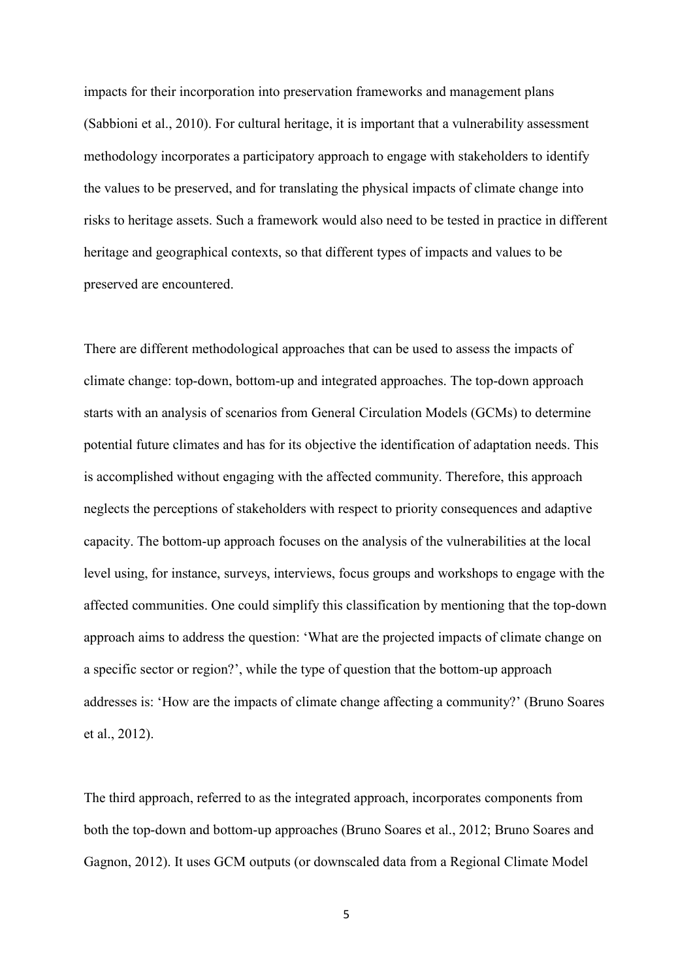impacts for their incorporation into preservation frameworks and management plans (Sabbioni et al., 2010). For cultural heritage, it is important that a vulnerability assessment methodology incorporates a participatory approach to engage with stakeholders to identify the values to be preserved, and for translating the physical impacts of climate change into risks to heritage assets. Such a framework would also need to be tested in practice in different heritage and geographical contexts, so that different types of impacts and values to be preserved are encountered.

There are different methodological approaches that can be used to assess the impacts of climate change: top-down, bottom-up and integrated approaches. The top-down approach starts with an analysis of scenarios from General Circulation Models (GCMs) to determine potential future climates and has for its objective the identification of adaptation needs. This is accomplished without engaging with the affected community. Therefore, this approach neglects the perceptions of stakeholders with respect to priority consequences and adaptive capacity. The bottom-up approach focuses on the analysis of the vulnerabilities at the local level using, for instance, surveys, interviews, focus groups and workshops to engage with the affected communities. One could simplify this classification by mentioning that the top-down approach aims to address the question: 'What are the projected impacts of climate change on a specific sector or region?', while the type of question that the bottom-up approach addresses is: 'How are the impacts of climate change affecting a community?' (Bruno Soares et al., 2012).

The third approach, referred to as the integrated approach, incorporates components from both the top-down and bottom-up approaches (Bruno Soares et al., 2012; Bruno Soares and Gagnon, 2012). It uses GCM outputs (or downscaled data from a Regional Climate Model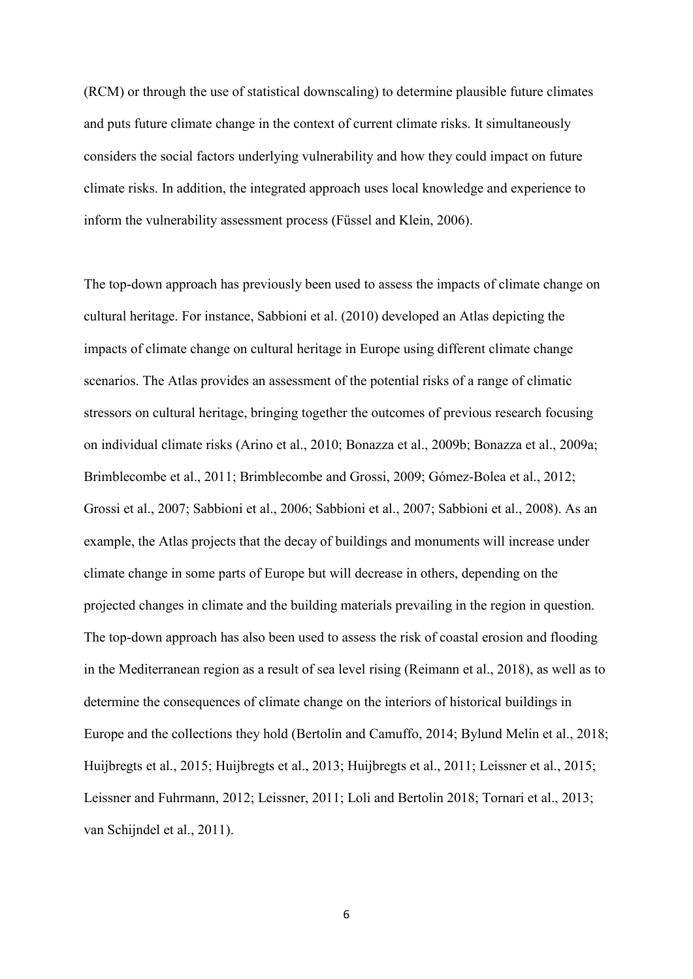(RCM) or through the use of statistical downscaling) to determine plausible future climates and puts future climate change in the context of current climate risks. It simultaneously considers the social factors underlying vulnerability and how they could impact on future climate risks. In addition, the integrated approach uses local knowledge and experience to inform the vulnerability assessment process (Füssel and Klein, 2006).

The top-down approach has previously been used to assess the impacts of climate change on cultural heritage. For instance, Sabbioni et al. (2010) developed an Atlas depicting the impacts of climate change on cultural heritage in Europe using different climate change scenarios. The Atlas provides an assessment of the potential risks of a range of climatic stressors on cultural heritage, bringing together the outcomes of previous research focusing on individual climate risks (Arino et al., 2010; Bonazza et al., 2009b; Bonazza et al., 2009a; Brimblecombe et al., 2011; Brimblecombe and Grossi, 2009; Gómez-Bolea et al., 2012; Grossi et al., 2007; Sabbioni et al., 2006; Sabbioni et al., 2007; Sabbioni et al., 2008). As an example, the Atlas projects that the decay of buildings and monuments will increase under climate change in some parts of Europe but will decrease in others, depending on the projected changes in climate and the building materials prevailing in the region in question. The top-down approach has also been used to assess the risk of coastal erosion and flooding in the Mediterranean region as a result of sea level rising (Reimann et al., 2018), as well as to determine the consequences of climate change on the interiors of historical buildings in Europe and the collections they hold (Bertolin and Camuffo, 2014; Bylund Melin et al., 2018; Huijbregts et al., 2015; Huijbregts et al., 2013; Huijbregts et al., 2011; Leissner et al., 2015; Leissner and Fuhrmann, 2012; Leissner, 2011; Loli and Bertolin 2018; Tornari et al., 2013; van Schijndel et al., 2011).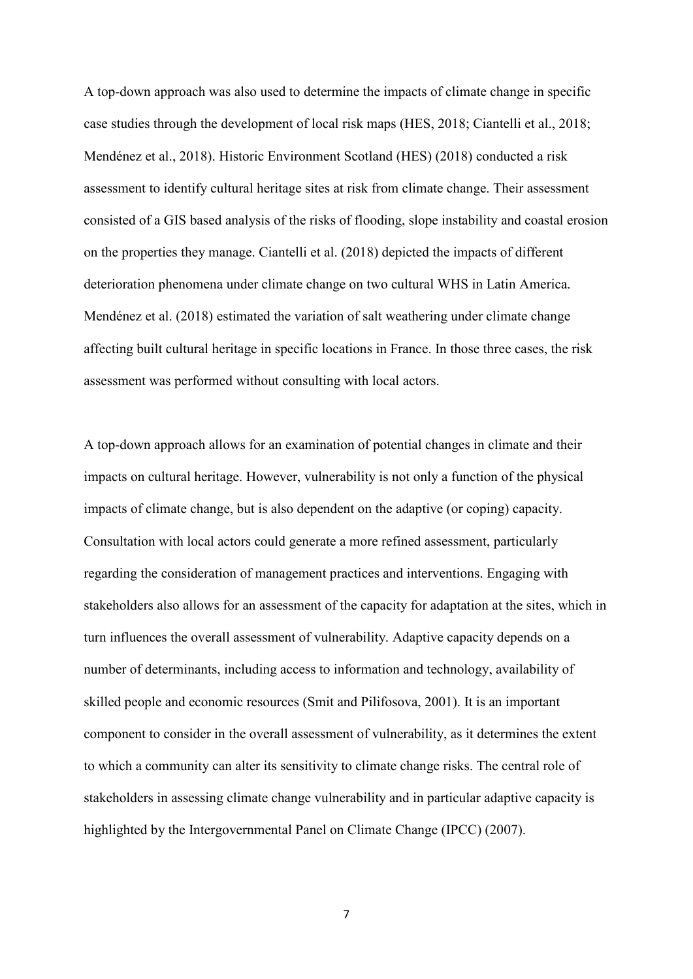A top-down approach was also used to determine the impacts of climate change in specific case studies through the development of local risk maps (HES, 2018; Ciantelli et al., 2018; Mendénez et al., 2018). Historic Environment Scotland (HES) (2018) conducted a risk assessment to identify cultural heritage sites at risk from climate change. Their assessment consisted of a GIS based analysis of the risks of flooding, slope instability and coastal erosion on the properties they manage. Ciantelli et al. (2018) depicted the impacts of different deterioration phenomena under climate change on two cultural WHS in Latin America. Mendénez et al. (2018) estimated the variation of salt weathering under climate change affecting built cultural heritage in specific locations in France. In those three cases, the risk assessment was performed without consulting with local actors.

A top-down approach allows for an examination of potential changes in climate and their impacts on cultural heritage. However, vulnerability is not only a function of the physical impacts of climate change, but is also dependent on the adaptive (or coping) capacity. Consultation with local actors could generate a more refined assessment, particularly regarding the consideration of management practices and interventions. Engaging with stakeholders also allows for an assessment of the capacity for adaptation at the sites, which in turn influences the overall assessment of vulnerability. Adaptive capacity depends on a number of determinants, including access to information and technology, availability of skilled people and economic resources (Smit and Pilifosova, 2001). It is an important component to consider in the overall assessment of vulnerability, as it determines the extent to which a community can alter its sensitivity to climate change risks. The central role of stakeholders in assessing climate change vulnerability and in particular adaptive capacity is highlighted by the Intergovernmental Panel on Climate Change (IPCC) (2007).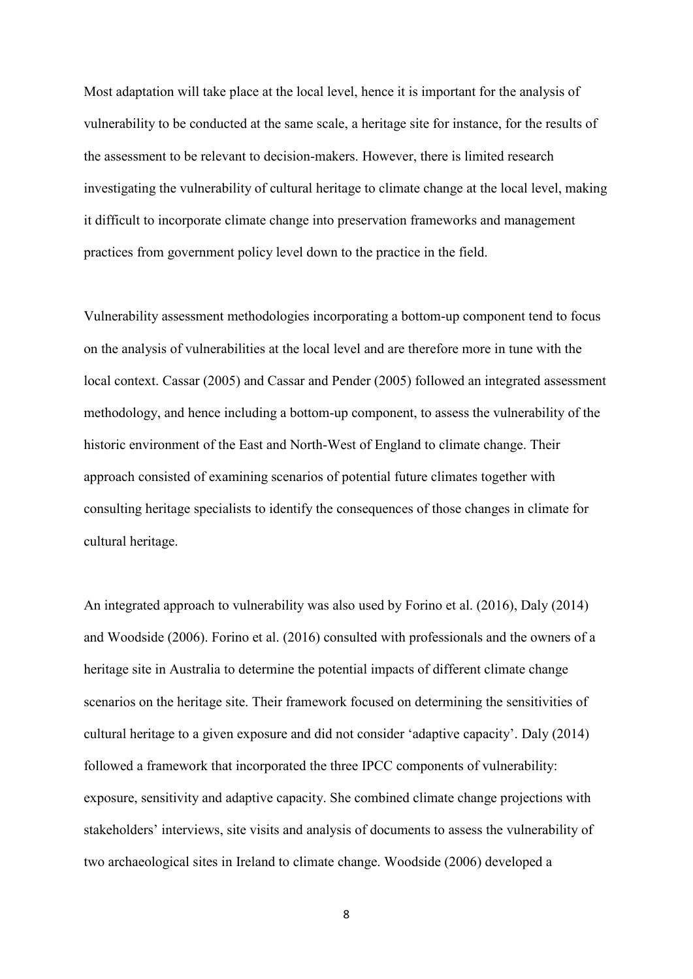Most adaptation will take place at the local level, hence it is important for the analysis of vulnerability to be conducted at the same scale, a heritage site for instance, for the results of the assessment to be relevant to decision-makers. However, there is limited research investigating the vulnerability of cultural heritage to climate change at the local level, making it difficult to incorporate climate change into preservation frameworks and management practices from government policy level down to the practice in the field.

Vulnerability assessment methodologies incorporating a bottom-up component tend to focus on the analysis of vulnerabilities at the local level and are therefore more in tune with the local context. Cassar (2005) and Cassar and Pender (2005) followed an integrated assessment methodology, and hence including a bottom-up component, to assess the vulnerability of the historic environment of the East and North-West of England to climate change. Their approach consisted of examining scenarios of potential future climates together with consulting heritage specialists to identify the consequences of those changes in climate for cultural heritage.

An integrated approach to vulnerability was also used by Forino et al. (2016), Daly (2014) and Woodside (2006). Forino et al. (2016) consulted with professionals and the owners of a heritage site in Australia to determine the potential impacts of different climate change scenarios on the heritage site. Their framework focused on determining the sensitivities of cultural heritage to a given exposure and did not consider 'adaptive capacity'. Daly (2014) followed a framework that incorporated the three IPCC components of vulnerability: exposure, sensitivity and adaptive capacity. She combined climate change projections with stakeholders' interviews, site visits and analysis of documents to assess the vulnerability of two archaeological sites in Ireland to climate change. Woodside (2006) developed a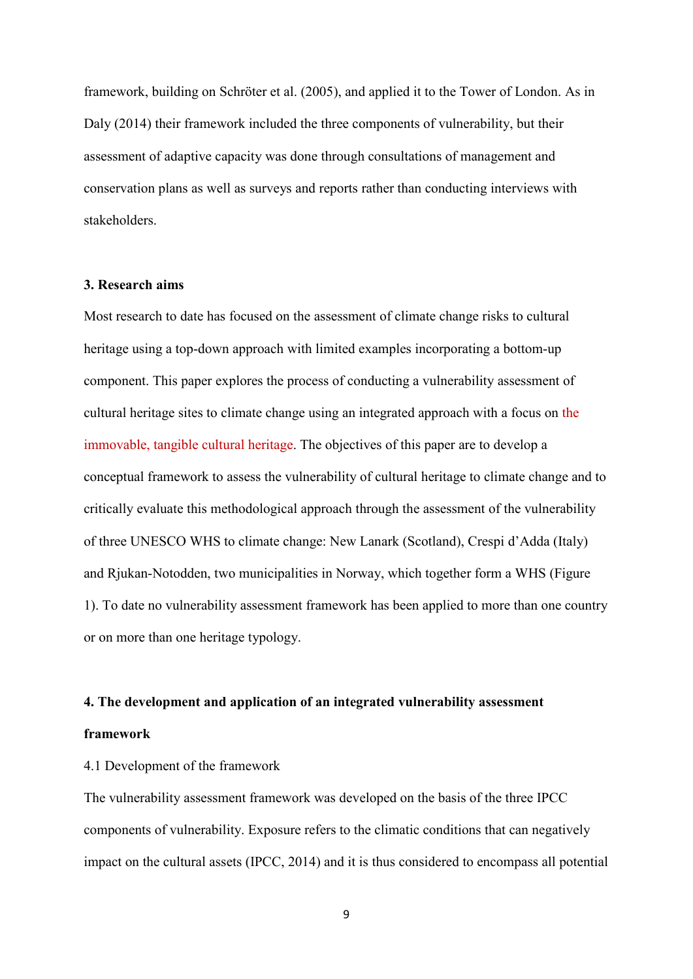framework, building on Schröter et al. (2005), and applied it to the Tower of London. As in Daly (2014) their framework included the three components of vulnerability, but their assessment of adaptive capacity was done through consultations of management and conservation plans as well as surveys and reports rather than conducting interviews with stakeholders.

#### **3. Research aims**

Most research to date has focused on the assessment of climate change risks to cultural heritage using a top-down approach with limited examples incorporating a bottom-up component. This paper explores the process of conducting a vulnerability assessment of cultural heritage sites to climate change using an integrated approach with a focus on the immovable, tangible cultural heritage. The objectives of this paper are to develop a conceptual framework to assess the vulnerability of cultural heritage to climate change and to critically evaluate this methodological approach through the assessment of the vulnerability of three UNESCO WHS to climate change: New Lanark (Scotland), Crespi d'Adda (Italy) and Rjukan-Notodden, two municipalities in Norway, which together form a WHS (Figure 1). To date no vulnerability assessment framework has been applied to more than one country or on more than one heritage typology.

# **4. The development and application of an integrated vulnerability assessment**

#### **framework**

#### 4.1 Development of the framework

The vulnerability assessment framework was developed on the basis of the three IPCC components of vulnerability. Exposure refers to the climatic conditions that can negatively impact on the cultural assets (IPCC, 2014) and it is thus considered to encompass all potential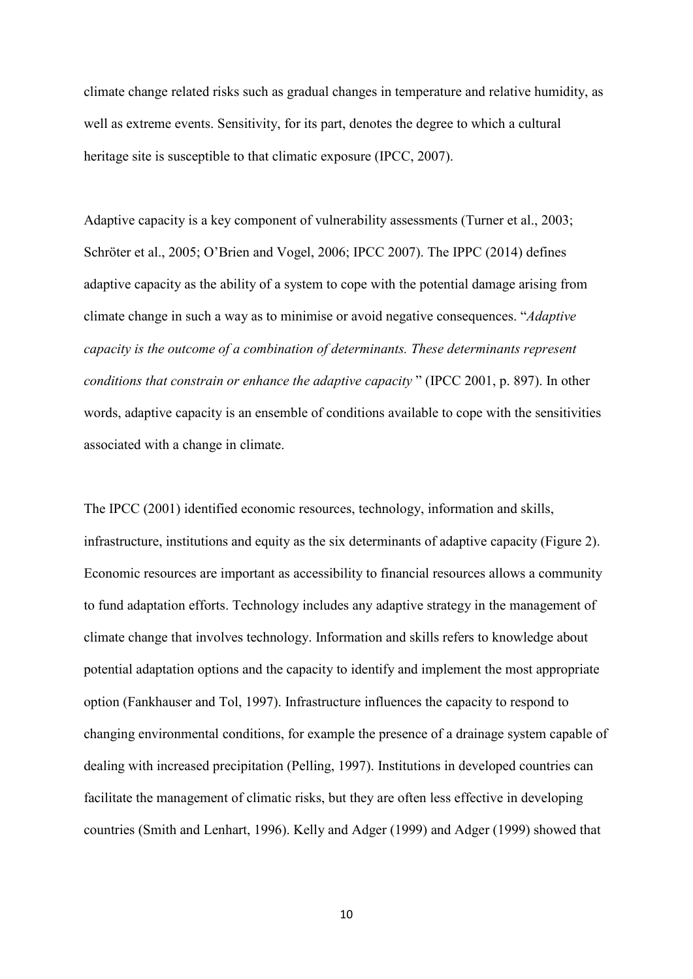climate change related risks such as gradual changes in temperature and relative humidity, as well as extreme events. Sensitivity, for its part, denotes the degree to which a cultural heritage site is susceptible to that climatic exposure (IPCC, 2007).

Adaptive capacity is a key component of vulnerability assessments (Turner et al., 2003; Schröter et al., 2005; O'Brien and Vogel, 2006; IPCC 2007). The IPPC (2014) defines adaptive capacity as the ability of a system to cope with the potential damage arising from climate change in such a way as to minimise or avoid negative consequences. "*Adaptive capacity is the outcome of a combination of determinants. These determinants represent conditions that constrain or enhance the adaptive capacity* " (IPCC 2001, p. 897). In other words, adaptive capacity is an ensemble of conditions available to cope with the sensitivities associated with a change in climate.

The IPCC (2001) identified economic resources, technology, information and skills, infrastructure, institutions and equity as the six determinants of adaptive capacity (Figure 2). Economic resources are important as accessibility to financial resources allows a community to fund adaptation efforts. Technology includes any adaptive strategy in the management of climate change that involves technology. Information and skills refers to knowledge about potential adaptation options and the capacity to identify and implement the most appropriate option (Fankhauser and Tol, 1997). Infrastructure influences the capacity to respond to changing environmental conditions, for example the presence of a drainage system capable of dealing with increased precipitation (Pelling, 1997). Institutions in developed countries can facilitate the management of climatic risks, but they are often less effective in developing countries (Smith and Lenhart, 1996). Kelly and Adger (1999) and Adger (1999) showed that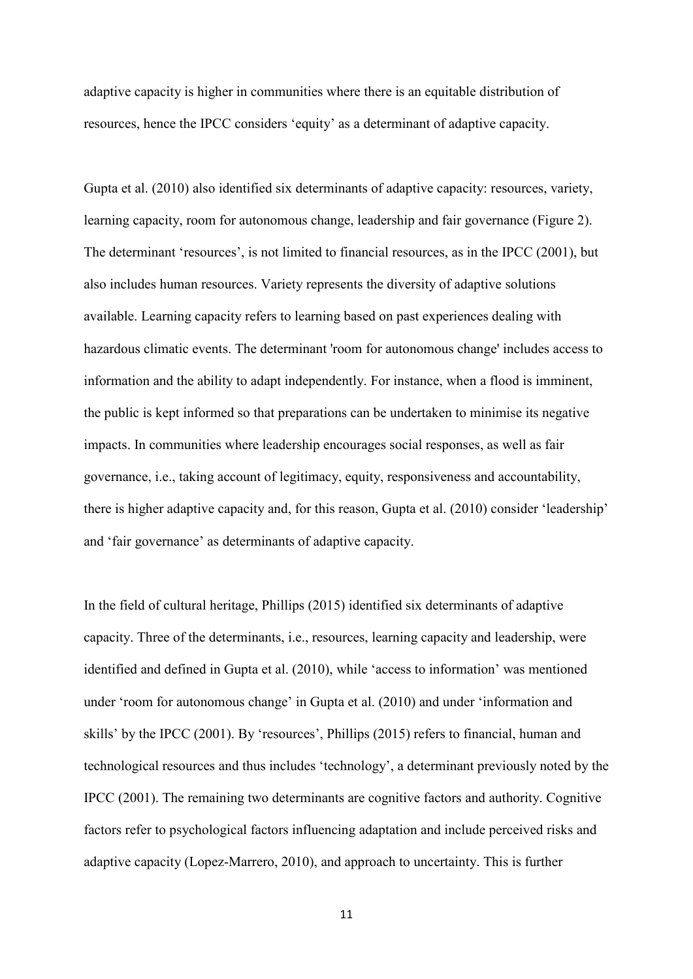adaptive capacity is higher in communities where there is an equitable distribution of resources, hence the IPCC considers 'equity' as a determinant of adaptive capacity.

Gupta et al. (2010) also identified six determinants of adaptive capacity: resources, variety, learning capacity, room for autonomous change, leadership and fair governance (Figure 2). The determinant 'resources', is not limited to financial resources, as in the IPCC (2001), but also includes human resources. Variety represents the diversity of adaptive solutions available. Learning capacity refers to learning based on past experiences dealing with hazardous climatic events. The determinant 'room for autonomous change' includes access to information and the ability to adapt independently. For instance, when a flood is imminent, the public is kept informed so that preparations can be undertaken to minimise its negative impacts. In communities where leadership encourages social responses, as well as fair governance, i.e., taking account of legitimacy, equity, responsiveness and accountability, there is higher adaptive capacity and, for this reason, Gupta et al. (2010) consider 'leadership' and 'fair governance' as determinants of adaptive capacity.

In the field of cultural heritage, Phillips (2015) identified six determinants of adaptive capacity. Three of the determinants, i.e., resources, learning capacity and leadership, were identified and defined in Gupta et al. (2010), while 'access to information' was mentioned under 'room for autonomous change' in Gupta et al. (2010) and under 'information and skills' by the IPCC (2001). By 'resources', Phillips (2015) refers to financial, human and technological resources and thus includes 'technology', a determinant previously noted by the IPCC (2001). The remaining two determinants are cognitive factors and authority. Cognitive factors refer to psychological factors influencing adaptation and include perceived risks and adaptive capacity (Lopez-Marrero, 2010), and approach to uncertainty. This is further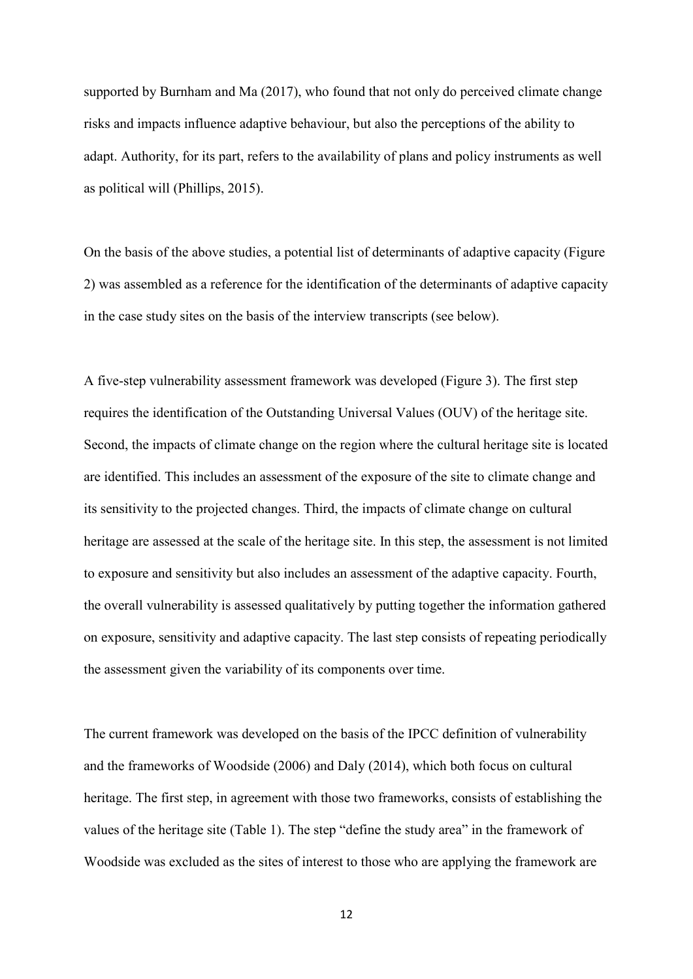supported by Burnham and Ma (2017), who found that not only do perceived climate change risks and impacts influence adaptive behaviour, but also the perceptions of the ability to adapt. Authority, for its part, refers to the availability of plans and policy instruments as well as political will (Phillips, 2015).

On the basis of the above studies, a potential list of determinants of adaptive capacity (Figure 2) was assembled as a reference for the identification of the determinants of adaptive capacity in the case study sites on the basis of the interview transcripts (see below).

A five-step vulnerability assessment framework was developed (Figure 3). The first step requires the identification of the Outstanding Universal Values (OUV) of the heritage site. Second, the impacts of climate change on the region where the cultural heritage site is located are identified. This includes an assessment of the exposure of the site to climate change and its sensitivity to the projected changes. Third, the impacts of climate change on cultural heritage are assessed at the scale of the heritage site. In this step, the assessment is not limited to exposure and sensitivity but also includes an assessment of the adaptive capacity. Fourth, the overall vulnerability is assessed qualitatively by putting together the information gathered on exposure, sensitivity and adaptive capacity. The last step consists of repeating periodically the assessment given the variability of its components over time.

The current framework was developed on the basis of the IPCC definition of vulnerability and the frameworks of Woodside (2006) and Daly (2014), which both focus on cultural heritage. The first step, in agreement with those two frameworks, consists of establishing the values of the heritage site (Table 1). The step "define the study area" in the framework of Woodside was excluded as the sites of interest to those who are applying the framework are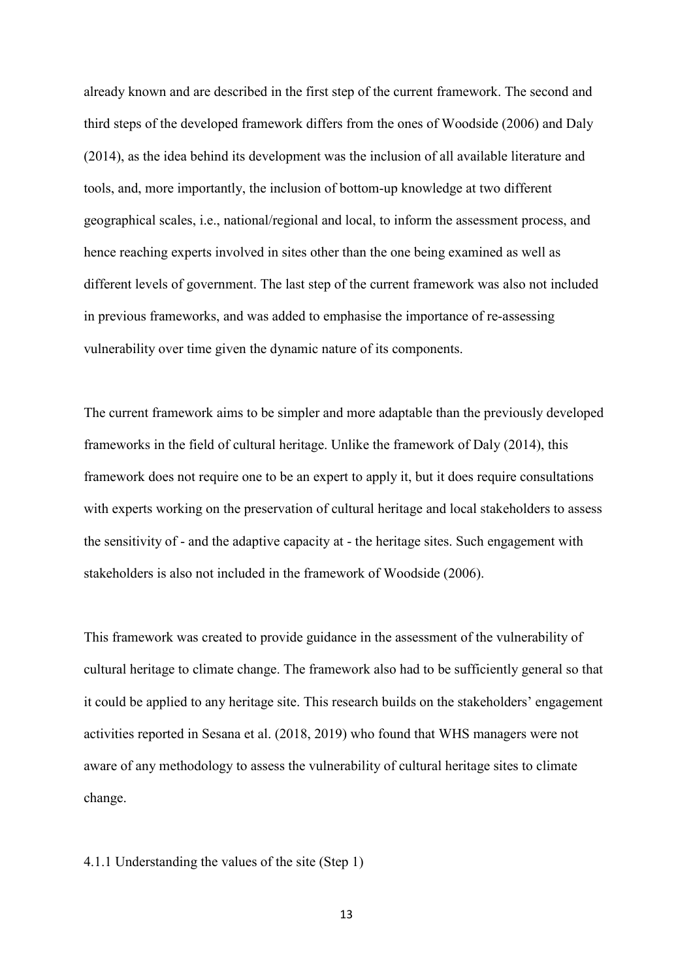already known and are described in the first step of the current framework. The second and third steps of the developed framework differs from the ones of Woodside (2006) and Daly (2014), as the idea behind its development was the inclusion of all available literature and tools, and, more importantly, the inclusion of bottom-up knowledge at two different geographical scales, i.e., national/regional and local, to inform the assessment process, and hence reaching experts involved in sites other than the one being examined as well as different levels of government. The last step of the current framework was also not included in previous frameworks, and was added to emphasise the importance of re-assessing vulnerability over time given the dynamic nature of its components.

The current framework aims to be simpler and more adaptable than the previously developed frameworks in the field of cultural heritage. Unlike the framework of Daly (2014), this framework does not require one to be an expert to apply it, but it does require consultations with experts working on the preservation of cultural heritage and local stakeholders to assess the sensitivity of - and the adaptive capacity at - the heritage sites. Such engagement with stakeholders is also not included in the framework of Woodside (2006).

This framework was created to provide guidance in the assessment of the vulnerability of cultural heritage to climate change. The framework also had to be sufficiently general so that it could be applied to any heritage site. This research builds on the stakeholders' engagement activities reported in Sesana et al. (2018, 2019) who found that WHS managers were not aware of any methodology to assess the vulnerability of cultural heritage sites to climate change.

#### 4.1.1 Understanding the values of the site (Step 1)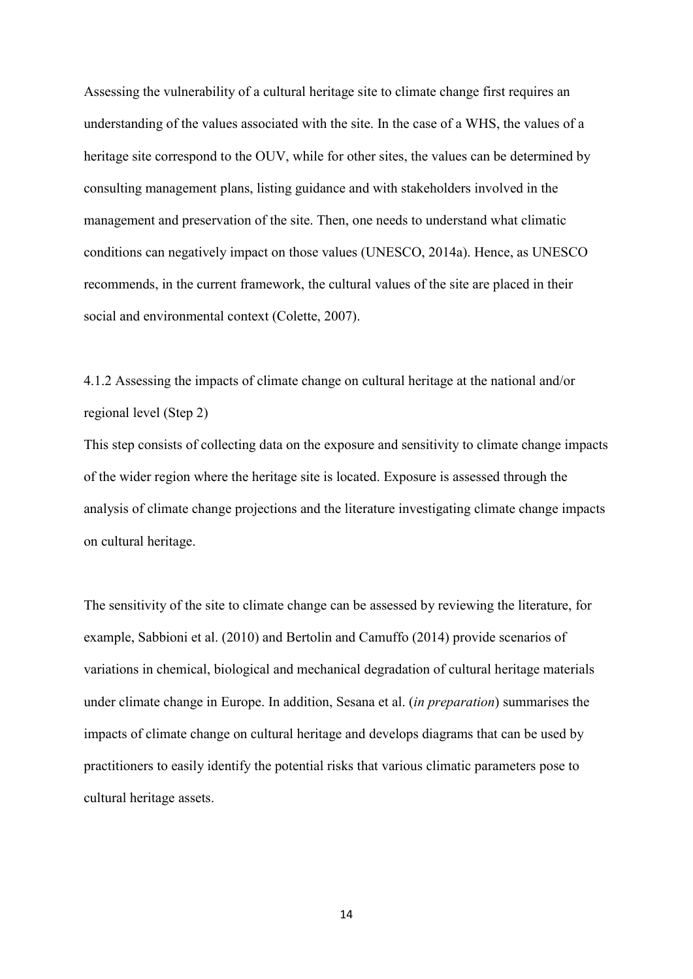Assessing the vulnerability of a cultural heritage site to climate change first requires an understanding of the values associated with the site. In the case of a WHS, the values of a heritage site correspond to the OUV, while for other sites, the values can be determined by consulting management plans, listing guidance and with stakeholders involved in the management and preservation of the site. Then, one needs to understand what climatic conditions can negatively impact on those values (UNESCO, 2014a). Hence, as UNESCO recommends, in the current framework, the cultural values of the site are placed in their social and environmental context (Colette, 2007).

4.1.2 Assessing the impacts of climate change on cultural heritage at the national and/or regional level (Step 2)

This step consists of collecting data on the exposure and sensitivity to climate change impacts of the wider region where the heritage site is located. Exposure is assessed through the analysis of climate change projections and the literature investigating climate change impacts on cultural heritage.

The sensitivity of the site to climate change can be assessed by reviewing the literature, for example, Sabbioni et al. (2010) and Bertolin and Camuffo (2014) provide scenarios of variations in chemical, biological and mechanical degradation of cultural heritage materials under climate change in Europe. In addition, Sesana et al. (*in preparation*) summarises the impacts of climate change on cultural heritage and develops diagrams that can be used by practitioners to easily identify the potential risks that various climatic parameters pose to cultural heritage assets.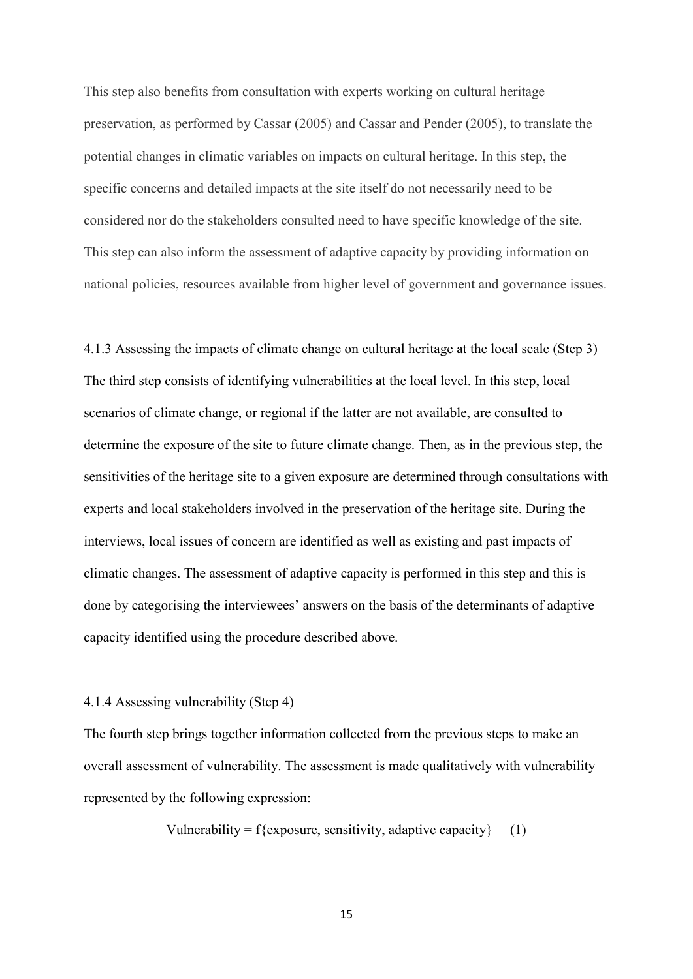This step also benefits from consultation with experts working on cultural heritage preservation, as performed by Cassar (2005) and Cassar and Pender (2005), to translate the potential changes in climatic variables on impacts on cultural heritage. In this step, the specific concerns and detailed impacts at the site itself do not necessarily need to be considered nor do the stakeholders consulted need to have specific knowledge of the site. This step can also inform the assessment of adaptive capacity by providing information on national policies, resources available from higher level of government and governance issues.

4.1.3 Assessing the impacts of climate change on cultural heritage at the local scale (Step 3) The third step consists of identifying vulnerabilities at the local level. In this step, local scenarios of climate change, or regional if the latter are not available, are consulted to determine the exposure of the site to future climate change. Then, as in the previous step, the sensitivities of the heritage site to a given exposure are determined through consultations with experts and local stakeholders involved in the preservation of the heritage site. During the interviews, local issues of concern are identified as well as existing and past impacts of climatic changes. The assessment of adaptive capacity is performed in this step and this is done by categorising the interviewees' answers on the basis of the determinants of adaptive capacity identified using the procedure described above.

#### 4.1.4 Assessing vulnerability (Step 4)

The fourth step brings together information collected from the previous steps to make an overall assessment of vulnerability. The assessment is made qualitatively with vulnerability represented by the following expression:

Vulnerability = f{exposure, sensitivity, adaptive capacity} (1)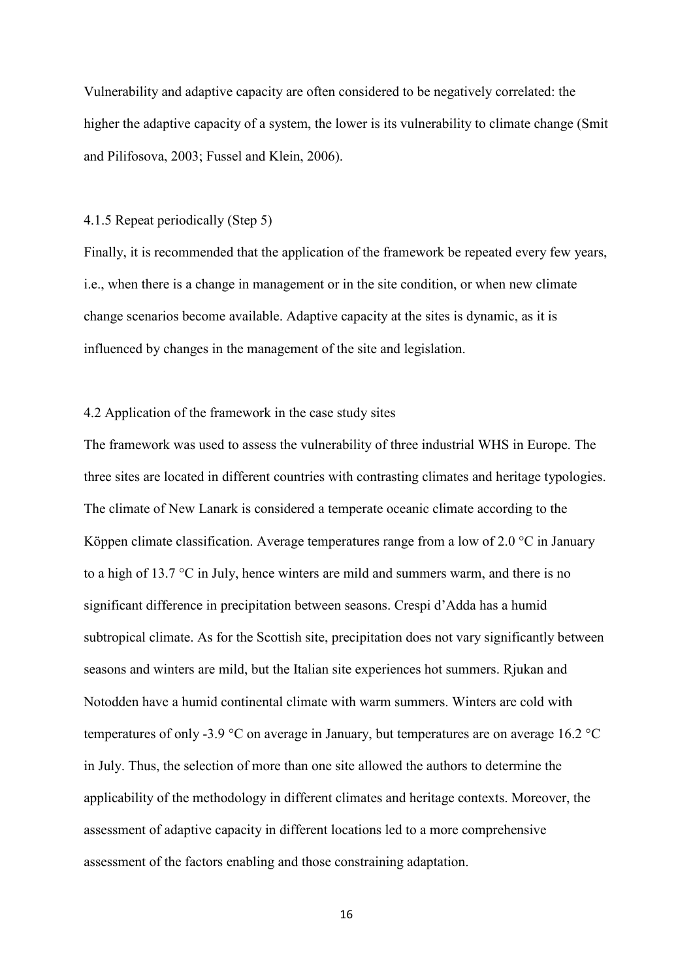Vulnerability and adaptive capacity are often considered to be negatively correlated: the higher the adaptive capacity of a system, the lower is its vulnerability to climate change (Smit and Pilifosova, 2003; Fussel and Klein, 2006).

#### 4.1.5 Repeat periodically (Step 5)

Finally, it is recommended that the application of the framework be repeated every few years, i.e., when there is a change in management or in the site condition, or when new climate change scenarios become available. Adaptive capacity at the sites is dynamic, as it is influenced by changes in the management of the site and legislation.

# 4.2 Application of the framework in the case study sites

The framework was used to assess the vulnerability of three industrial WHS in Europe. The three sites are located in different countries with contrasting climates and heritage typologies. The climate of New Lanark is considered a temperate oceanic climate according to the Köppen climate classification. Average temperatures range from a low of 2.0  $\degree$ C in January to a high of 13.7 °C in July, hence winters are mild and summers warm, and there is no significant difference in precipitation between seasons. Crespi d'Adda has a humid subtropical climate. As for the Scottish site, precipitation does not vary significantly between seasons and winters are mild, but the Italian site experiences hot summers. Rjukan and Notodden have a humid continental climate with warm summers. Winters are cold with temperatures of only -3.9 °C on average in January, but temperatures are on average 16.2 °C in July. Thus, the selection of more than one site allowed the authors to determine the applicability of the methodology in different climates and heritage contexts. Moreover, the assessment of adaptive capacity in different locations led to a more comprehensive assessment of the factors enabling and those constraining adaptation.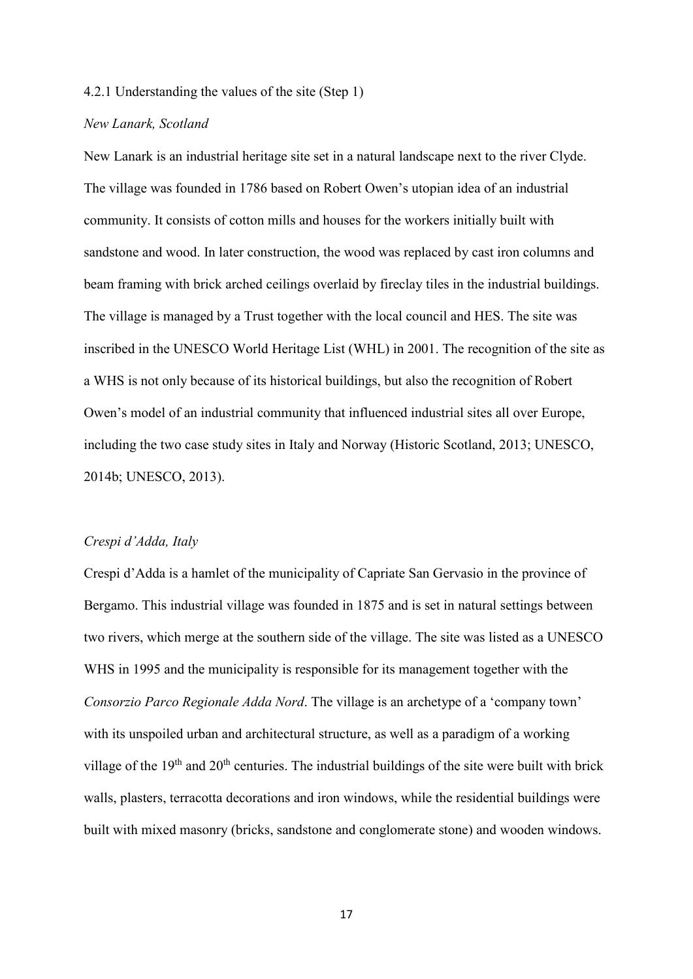#### 4.2.1 Understanding the values of the site (Step 1)

#### *New Lanark, Scotland*

New Lanark is an industrial heritage site set in a natural landscape next to the river Clyde. The village was founded in 1786 based on Robert Owen's utopian idea of an industrial community. It consists of cotton mills and houses for the workers initially built with sandstone and wood. In later construction, the wood was replaced by cast iron columns and beam framing with brick arched ceilings overlaid by fireclay tiles in the industrial buildings. The village is managed by a Trust together with the local council and HES. The site was inscribed in the UNESCO World Heritage List (WHL) in 2001. The recognition of the site as a WHS is not only because of its historical buildings, but also the recognition of Robert Owen's model of an industrial community that influenced industrial sites all over Europe, including the two case study sites in Italy and Norway (Historic Scotland, 2013; UNESCO, 2014b; UNESCO, 2013).

#### *Crespi d'Adda, Italy*

Crespi d'Adda is a hamlet of the municipality of Capriate San Gervasio in the province of Bergamo. This industrial village was founded in 1875 and is set in natural settings between two rivers, which merge at the southern side of the village. The site was listed as a UNESCO WHS in 1995 and the municipality is responsible for its management together with the *Consorzio Parco Regionale Adda Nord*. The village is an archetype of a 'company town' with its unspoiled urban and architectural structure, as well as a paradigm of a working village of the  $19<sup>th</sup>$  and  $20<sup>th</sup>$  centuries. The industrial buildings of the site were built with brick walls, plasters, terracotta decorations and iron windows, while the residential buildings were built with mixed masonry (bricks, sandstone and conglomerate stone) and wooden windows.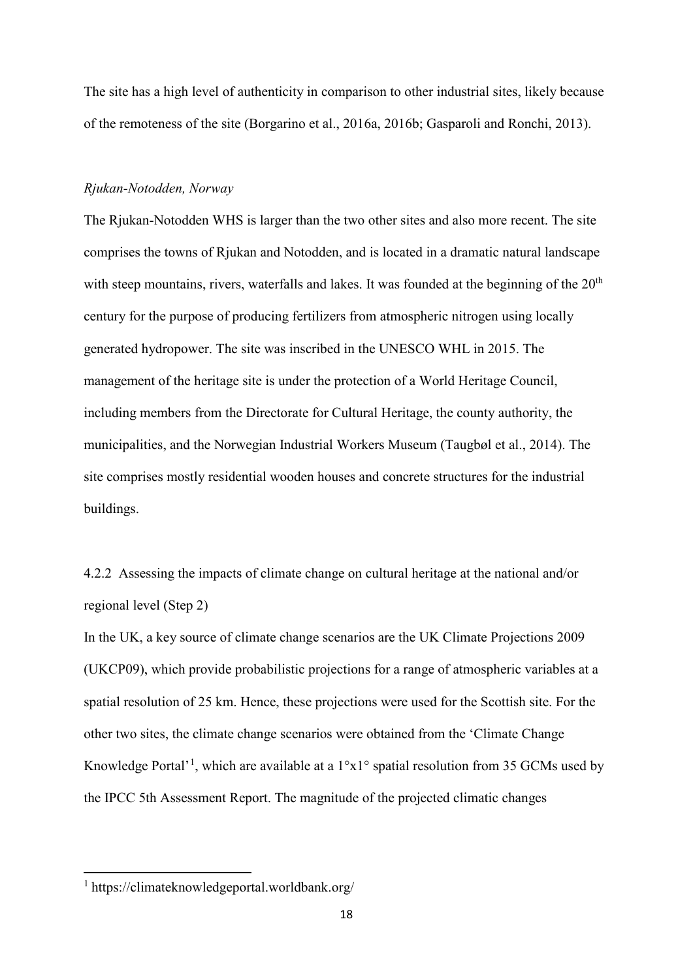The site has a high level of authenticity in comparison to other industrial sites, likely because of the remoteness of the site (Borgarino et al., 2016a, 2016b; Gasparoli and Ronchi, 2013).

#### *Rjukan-Notodden, Norway*

The Rjukan-Notodden WHS is larger than the two other sites and also more recent. The site comprises the towns of Rjukan and Notodden, and is located in a dramatic natural landscape with steep mountains, rivers, waterfalls and lakes. It was founded at the beginning of the  $20<sup>th</sup>$ century for the purpose of producing fertilizers from atmospheric nitrogen using locally generated hydropower. The site was inscribed in the UNESCO WHL in 2015. The management of the heritage site is under the protection of a World Heritage Council, including members from the Directorate for Cultural Heritage, the county authority, the municipalities, and the Norwegian Industrial Workers Museum (Taugbøl et al., 2014). The site comprises mostly residential wooden houses and concrete structures for the industrial buildings.

4.2.2 Assessing the impacts of climate change on cultural heritage at the national and/or regional level (Step 2)

In the UK, a key source of climate change scenarios are the UK Climate Projections 2009 (UKCP09), which provide probabilistic projections for a range of atmospheric variables at a spatial resolution of 25 km. Hence, these projections were used for the Scottish site. For the other two sites, the climate change scenarios were obtained from the 'Climate Change Knowledge Portal<sup>'[1](#page-18-0)</sup>, which are available at a  $1^{\circ}x1^{\circ}$  spatial resolution from 35 GCMs used by the IPCC 5th Assessment Report. The magnitude of the projected climatic changes

<span id="page-18-0"></span> <sup>1</sup> https://climateknowledgeportal.worldbank.org/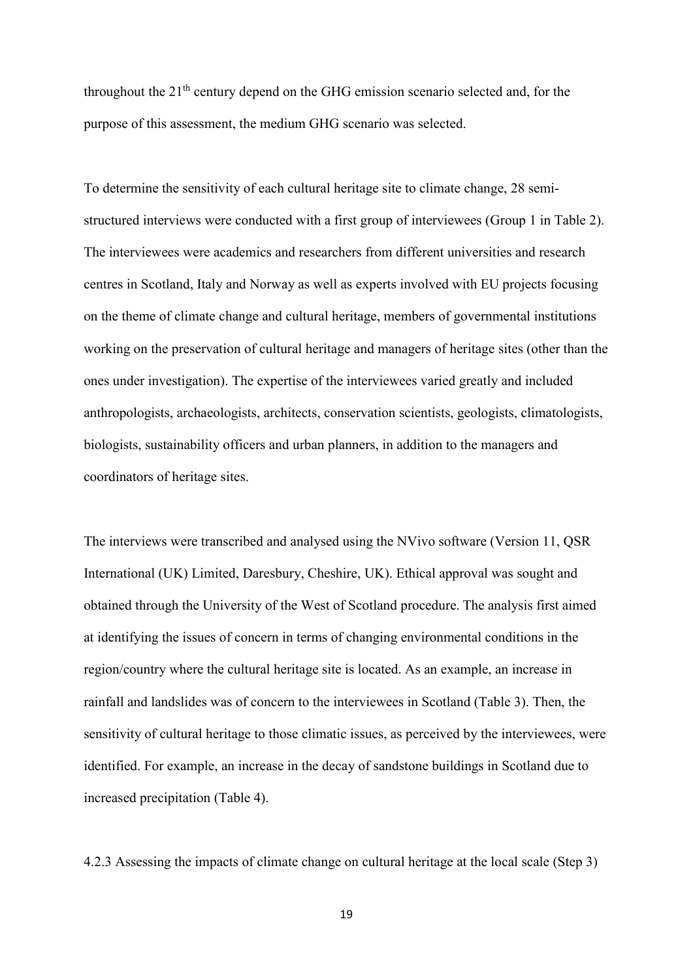throughout the  $21<sup>th</sup>$  century depend on the GHG emission scenario selected and, for the purpose of this assessment, the medium GHG scenario was selected.

To determine the sensitivity of each cultural heritage site to climate change, 28 semistructured interviews were conducted with a first group of interviewees (Group 1 in Table 2). The interviewees were academics and researchers from different universities and research centres in Scotland, Italy and Norway as well as experts involved with EU projects focusing on the theme of climate change and cultural heritage, members of governmental institutions working on the preservation of cultural heritage and managers of heritage sites (other than the ones under investigation). The expertise of the interviewees varied greatly and included anthropologists, archaeologists, architects, conservation scientists, geologists, climatologists, biologists, sustainability officers and urban planners, in addition to the managers and coordinators of heritage sites.

The interviews were transcribed and analysed using the NVivo software (Version 11, QSR International (UK) Limited, Daresbury, Cheshire, UK). Ethical approval was sought and obtained through the University of the West of Scotland procedure. The analysis first aimed at identifying the issues of concern in terms of changing environmental conditions in the region/country where the cultural heritage site is located. As an example, an increase in rainfall and landslides was of concern to the interviewees in Scotland (Table 3). Then, the sensitivity of cultural heritage to those climatic issues, as perceived by the interviewees, were identified. For example, an increase in the decay of sandstone buildings in Scotland due to increased precipitation (Table 4).

4.2.3 Assessing the impacts of climate change on cultural heritage at the local scale (Step 3)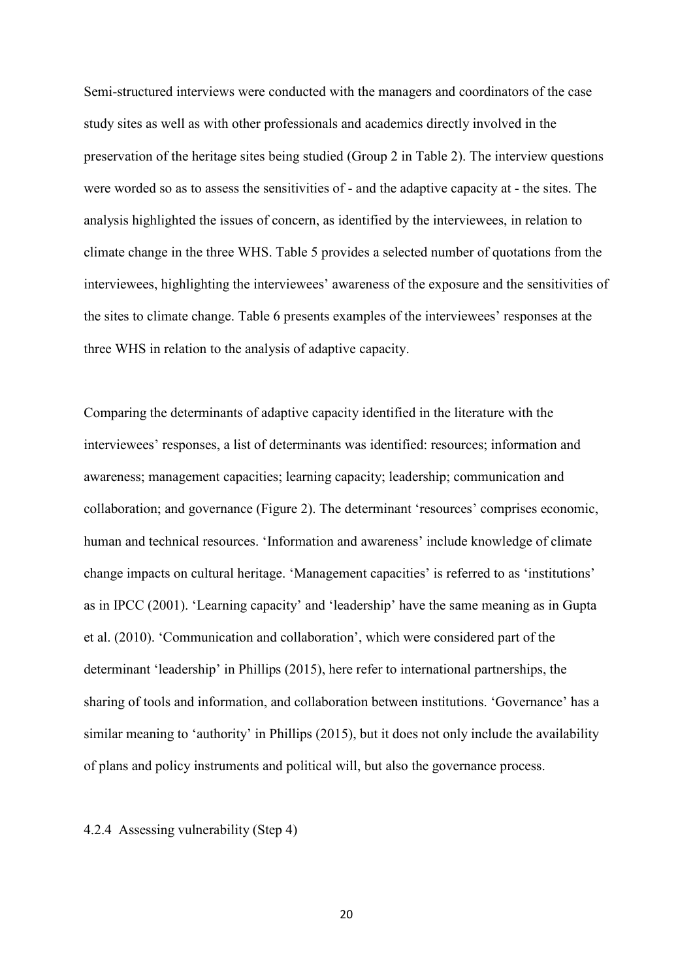Semi-structured interviews were conducted with the managers and coordinators of the case study sites as well as with other professionals and academics directly involved in the preservation of the heritage sites being studied (Group 2 in Table 2). The interview questions were worded so as to assess the sensitivities of - and the adaptive capacity at - the sites. The analysis highlighted the issues of concern, as identified by the interviewees, in relation to climate change in the three WHS. Table 5 provides a selected number of quotations from the interviewees, highlighting the interviewees' awareness of the exposure and the sensitivities of the sites to climate change. Table 6 presents examples of the interviewees' responses at the three WHS in relation to the analysis of adaptive capacity.

Comparing the determinants of adaptive capacity identified in the literature with the interviewees' responses, a list of determinants was identified: resources; information and awareness; management capacities; learning capacity; leadership; communication and collaboration; and governance (Figure 2). The determinant 'resources' comprises economic, human and technical resources. 'Information and awareness' include knowledge of climate change impacts on cultural heritage. 'Management capacities' is referred to as 'institutions' as in IPCC (2001). 'Learning capacity' and 'leadership' have the same meaning as in Gupta et al. (2010). 'Communication and collaboration', which were considered part of the determinant 'leadership' in Phillips (2015), here refer to international partnerships, the sharing of tools and information, and collaboration between institutions. 'Governance' has a similar meaning to 'authority' in Phillips (2015), but it does not only include the availability of plans and policy instruments and political will, but also the governance process.

4.2.4 Assessing vulnerability (Step 4)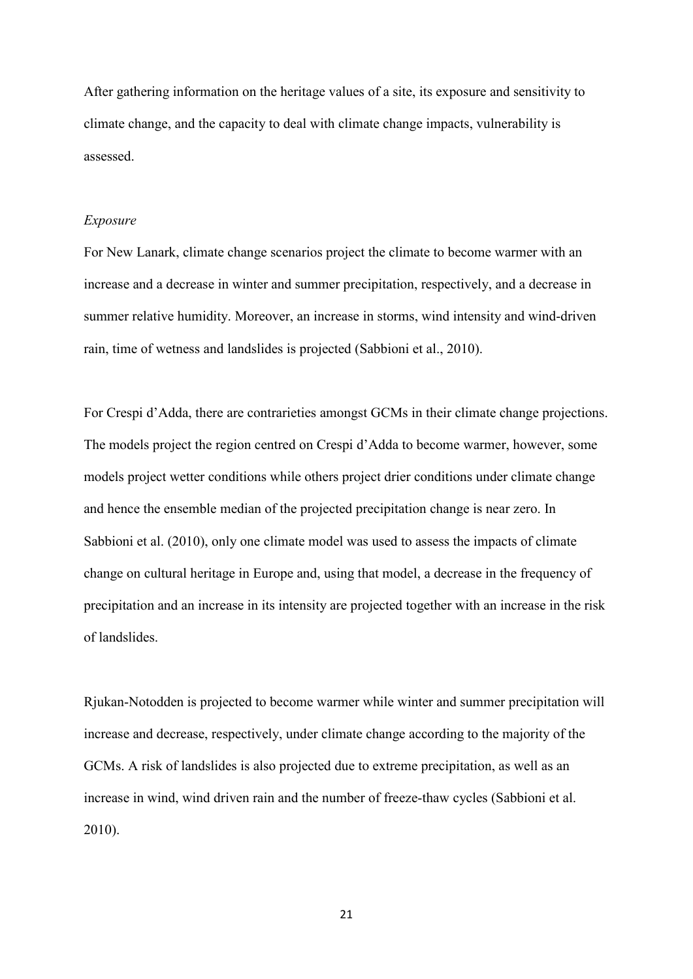After gathering information on the heritage values of a site, its exposure and sensitivity to climate change, and the capacity to deal with climate change impacts, vulnerability is assessed.

#### *Exposure*

For New Lanark, climate change scenarios project the climate to become warmer with an increase and a decrease in winter and summer precipitation, respectively, and a decrease in summer relative humidity. Moreover, an increase in storms, wind intensity and wind-driven rain, time of wetness and landslides is projected (Sabbioni et al., 2010).

For Crespi d'Adda, there are contrarieties amongst GCMs in their climate change projections. The models project the region centred on Crespi d'Adda to become warmer, however, some models project wetter conditions while others project drier conditions under climate change and hence the ensemble median of the projected precipitation change is near zero. In Sabbioni et al. (2010), only one climate model was used to assess the impacts of climate change on cultural heritage in Europe and, using that model, a decrease in the frequency of precipitation and an increase in its intensity are projected together with an increase in the risk of landslides.

Rjukan-Notodden is projected to become warmer while winter and summer precipitation will increase and decrease, respectively, under climate change according to the majority of the GCMs. A risk of landslides is also projected due to extreme precipitation, as well as an increase in wind, wind driven rain and the number of freeze-thaw cycles (Sabbioni et al. 2010).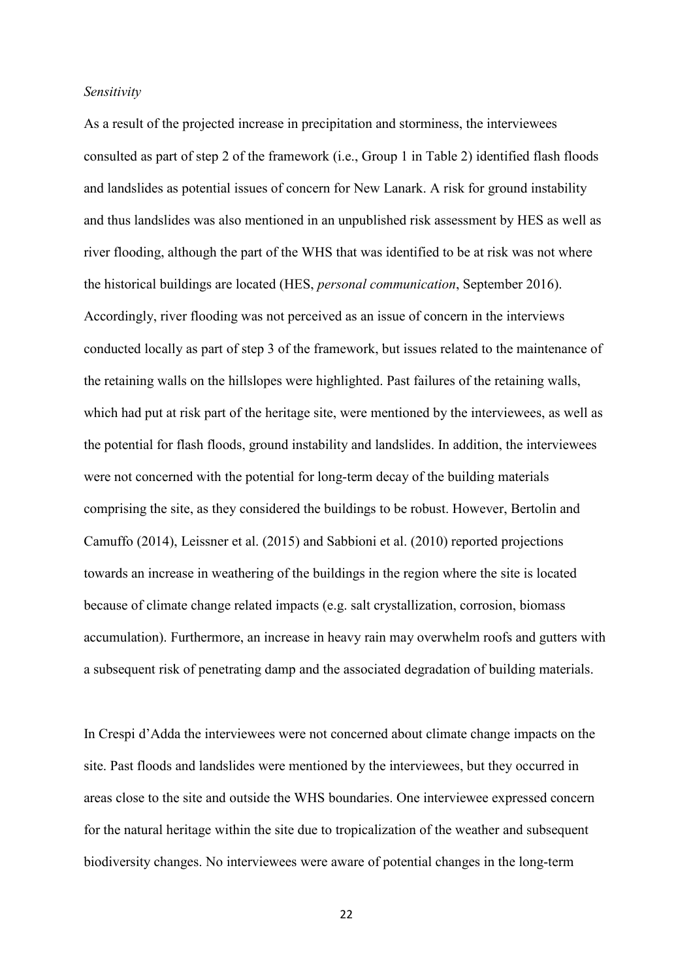#### *Sensitivity*

As a result of the projected increase in precipitation and storminess, the interviewees consulted as part of step 2 of the framework (i.e., Group 1 in Table 2) identified flash floods and landslides as potential issues of concern for New Lanark. A risk for ground instability and thus landslides was also mentioned in an unpublished risk assessment by HES as well as river flooding, although the part of the WHS that was identified to be at risk was not where the historical buildings are located (HES, *personal communication*, September 2016). Accordingly, river flooding was not perceived as an issue of concern in the interviews conducted locally as part of step 3 of the framework, but issues related to the maintenance of the retaining walls on the hillslopes were highlighted. Past failures of the retaining walls, which had put at risk part of the heritage site, were mentioned by the interviewees, as well as the potential for flash floods, ground instability and landslides. In addition, the interviewees were not concerned with the potential for long-term decay of the building materials comprising the site, as they considered the buildings to be robust. However, Bertolin and Camuffo (2014), Leissner et al. (2015) and Sabbioni et al. (2010) reported projections towards an increase in weathering of the buildings in the region where the site is located because of climate change related impacts (e.g. salt crystallization, corrosion, biomass accumulation). Furthermore, an increase in heavy rain may overwhelm roofs and gutters with a subsequent risk of penetrating damp and the associated degradation of building materials.

In Crespi d'Adda the interviewees were not concerned about climate change impacts on the site. Past floods and landslides were mentioned by the interviewees, but they occurred in areas close to the site and outside the WHS boundaries. One interviewee expressed concern for the natural heritage within the site due to tropicalization of the weather and subsequent biodiversity changes. No interviewees were aware of potential changes in the long-term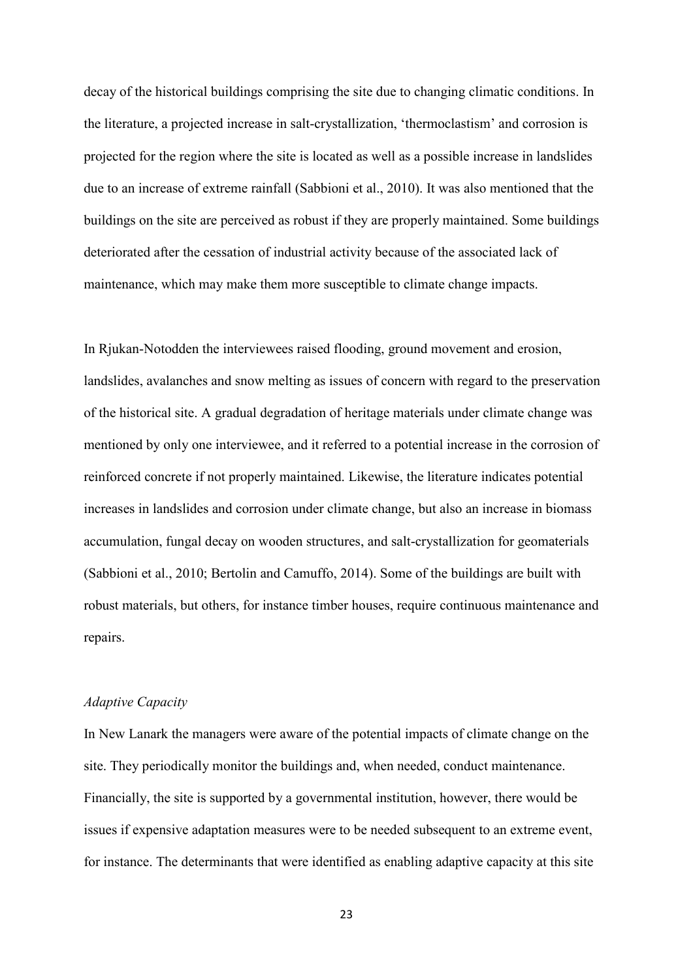decay of the historical buildings comprising the site due to changing climatic conditions. In the literature, a projected increase in salt-crystallization, 'thermoclastism' and corrosion is projected for the region where the site is located as well as a possible increase in landslides due to an increase of extreme rainfall (Sabbioni et al., 2010). It was also mentioned that the buildings on the site are perceived as robust if they are properly maintained. Some buildings deteriorated after the cessation of industrial activity because of the associated lack of maintenance, which may make them more susceptible to climate change impacts.

In Rjukan-Notodden the interviewees raised flooding, ground movement and erosion, landslides, avalanches and snow melting as issues of concern with regard to the preservation of the historical site. A gradual degradation of heritage materials under climate change was mentioned by only one interviewee, and it referred to a potential increase in the corrosion of reinforced concrete if not properly maintained. Likewise, the literature indicates potential increases in landslides and corrosion under climate change, but also an increase in biomass accumulation, fungal decay on wooden structures, and salt-crystallization for geomaterials (Sabbioni et al., 2010; Bertolin and Camuffo, 2014). Some of the buildings are built with robust materials, but others, for instance timber houses, require continuous maintenance and repairs.

#### *Adaptive Capacity*

In New Lanark the managers were aware of the potential impacts of climate change on the site. They periodically monitor the buildings and, when needed, conduct maintenance. Financially, the site is supported by a governmental institution, however, there would be issues if expensive adaptation measures were to be needed subsequent to an extreme event, for instance. The determinants that were identified as enabling adaptive capacity at this site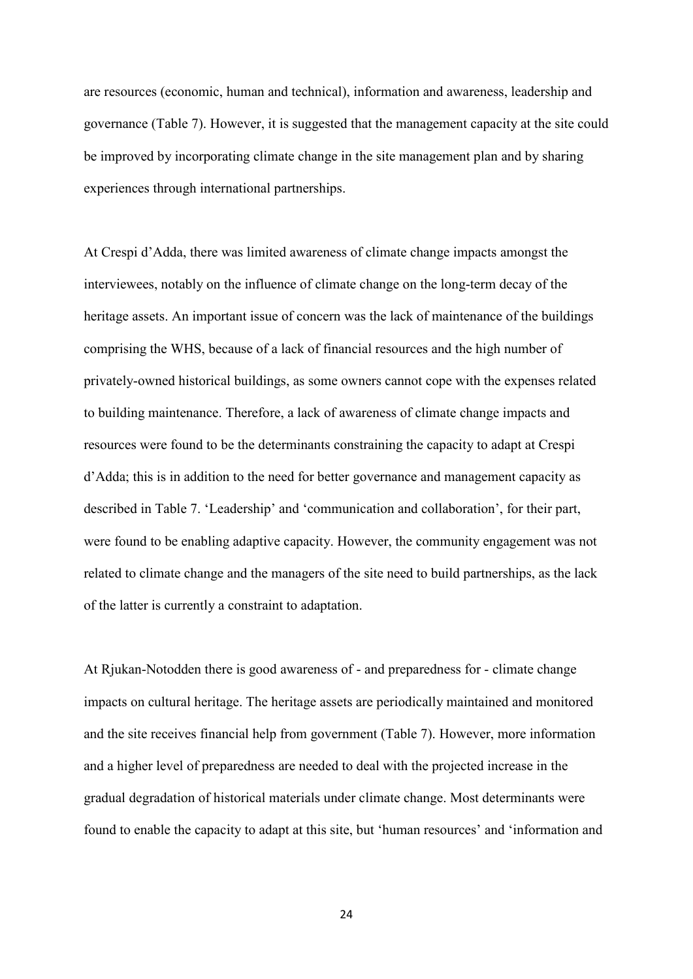are resources (economic, human and technical), information and awareness, leadership and governance (Table 7). However, it is suggested that the management capacity at the site could be improved by incorporating climate change in the site management plan and by sharing experiences through international partnerships.

At Crespi d'Adda, there was limited awareness of climate change impacts amongst the interviewees, notably on the influence of climate change on the long-term decay of the heritage assets. An important issue of concern was the lack of maintenance of the buildings comprising the WHS, because of a lack of financial resources and the high number of privately-owned historical buildings, as some owners cannot cope with the expenses related to building maintenance. Therefore, a lack of awareness of climate change impacts and resources were found to be the determinants constraining the capacity to adapt at Crespi d'Adda; this is in addition to the need for better governance and management capacity as described in Table 7. 'Leadership' and 'communication and collaboration', for their part, were found to be enabling adaptive capacity. However, the community engagement was not related to climate change and the managers of the site need to build partnerships, as the lack of the latter is currently a constraint to adaptation.

At Rjukan-Notodden there is good awareness of - and preparedness for - climate change impacts on cultural heritage. The heritage assets are periodically maintained and monitored and the site receives financial help from government (Table 7). However, more information and a higher level of preparedness are needed to deal with the projected increase in the gradual degradation of historical materials under climate change. Most determinants were found to enable the capacity to adapt at this site, but 'human resources' and 'information and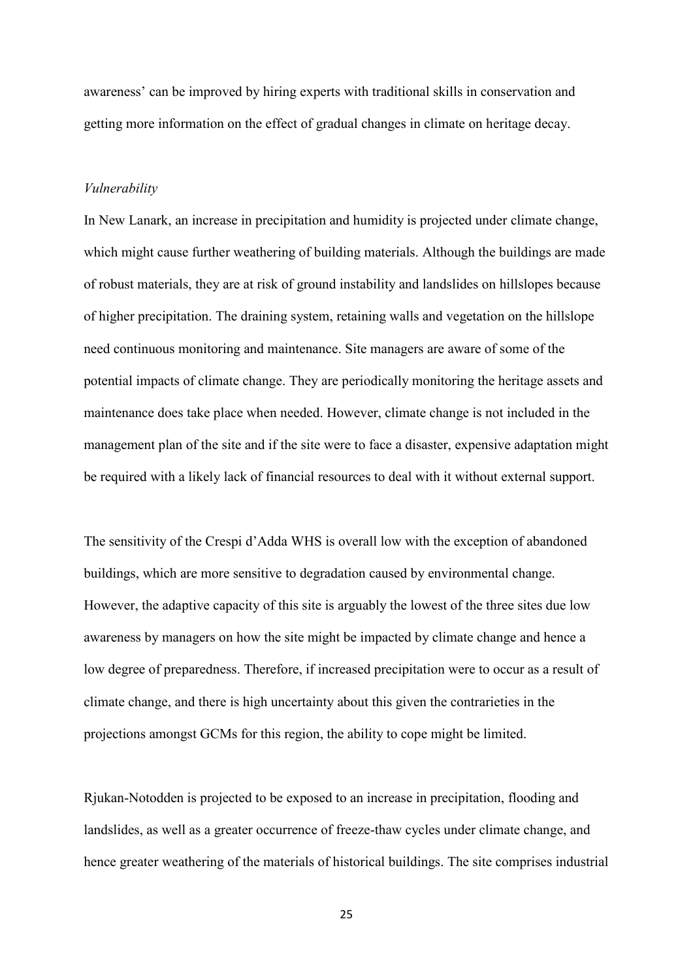awareness' can be improved by hiring experts with traditional skills in conservation and getting more information on the effect of gradual changes in climate on heritage decay.

#### *Vulnerability*

In New Lanark, an increase in precipitation and humidity is projected under climate change, which might cause further weathering of building materials. Although the buildings are made of robust materials, they are at risk of ground instability and landslides on hillslopes because of higher precipitation. The draining system, retaining walls and vegetation on the hillslope need continuous monitoring and maintenance. Site managers are aware of some of the potential impacts of climate change. They are periodically monitoring the heritage assets and maintenance does take place when needed. However, climate change is not included in the management plan of the site and if the site were to face a disaster, expensive adaptation might be required with a likely lack of financial resources to deal with it without external support.

The sensitivity of the Crespi d'Adda WHS is overall low with the exception of abandoned buildings, which are more sensitive to degradation caused by environmental change. However, the adaptive capacity of this site is arguably the lowest of the three sites due low awareness by managers on how the site might be impacted by climate change and hence a low degree of preparedness. Therefore, if increased precipitation were to occur as a result of climate change, and there is high uncertainty about this given the contrarieties in the projections amongst GCMs for this region, the ability to cope might be limited.

Rjukan-Notodden is projected to be exposed to an increase in precipitation, flooding and landslides, as well as a greater occurrence of freeze-thaw cycles under climate change, and hence greater weathering of the materials of historical buildings. The site comprises industrial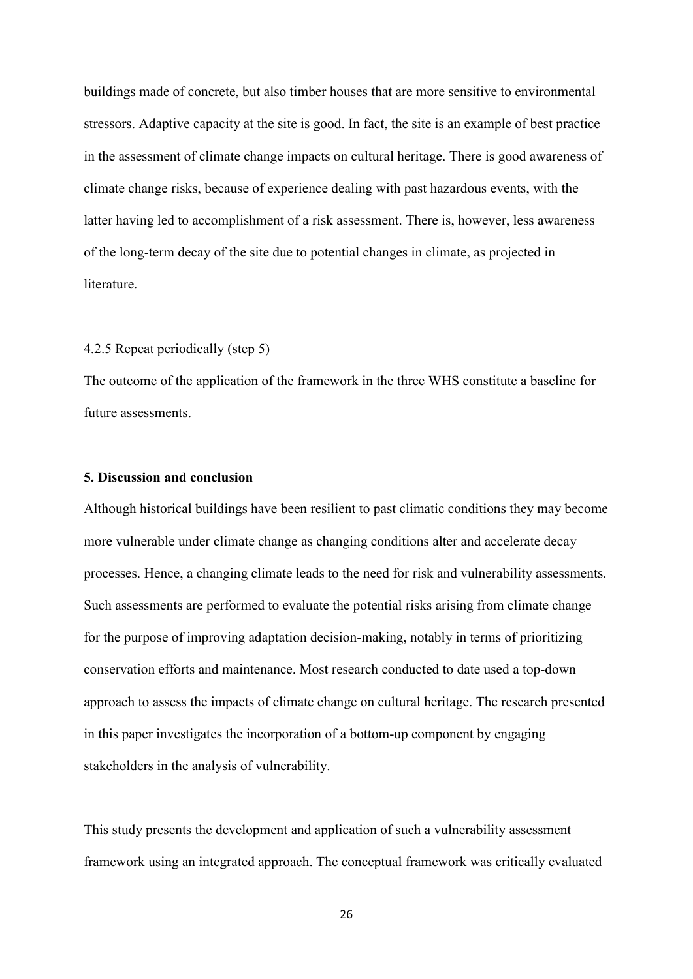buildings made of concrete, but also timber houses that are more sensitive to environmental stressors. Adaptive capacity at the site is good. In fact, the site is an example of best practice in the assessment of climate change impacts on cultural heritage. There is good awareness of climate change risks, because of experience dealing with past hazardous events, with the latter having led to accomplishment of a risk assessment. There is, however, less awareness of the long-term decay of the site due to potential changes in climate, as projected in literature.

#### 4.2.5 Repeat periodically (step 5)

The outcome of the application of the framework in the three WHS constitute a baseline for future assessments.

#### **5. Discussion and conclusion**

Although historical buildings have been resilient to past climatic conditions they may become more vulnerable under climate change as changing conditions alter and accelerate decay processes. Hence, a changing climate leads to the need for risk and vulnerability assessments. Such assessments are performed to evaluate the potential risks arising from climate change for the purpose of improving adaptation decision-making, notably in terms of prioritizing conservation efforts and maintenance. Most research conducted to date used a top-down approach to assess the impacts of climate change on cultural heritage. The research presented in this paper investigates the incorporation of a bottom-up component by engaging stakeholders in the analysis of vulnerability.

This study presents the development and application of such a vulnerability assessment framework using an integrated approach. The conceptual framework was critically evaluated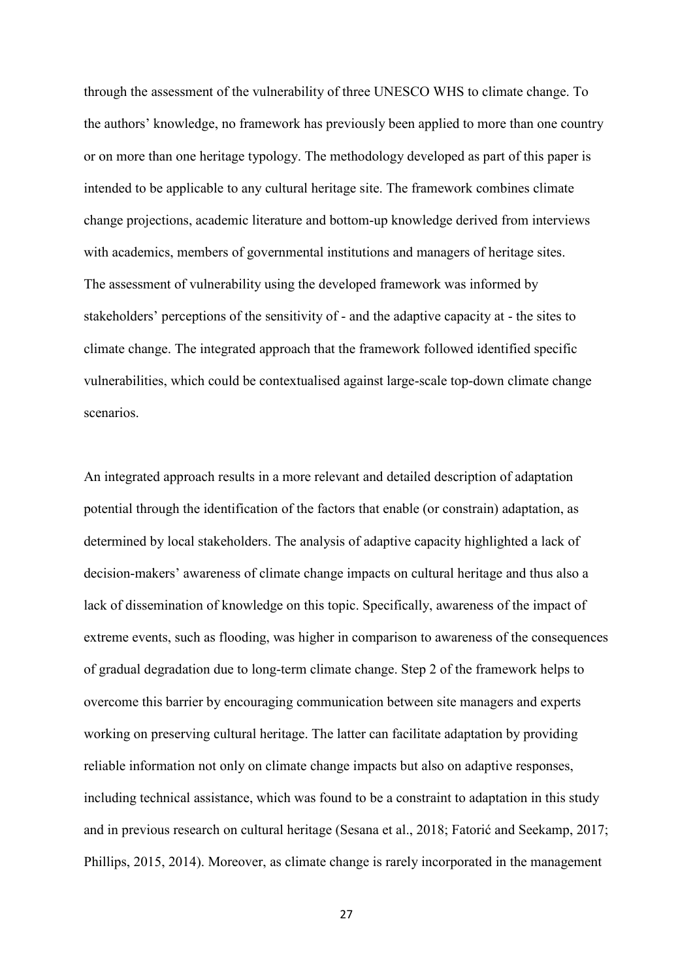through the assessment of the vulnerability of three UNESCO WHS to climate change. To the authors' knowledge, no framework has previously been applied to more than one country or on more than one heritage typology. The methodology developed as part of this paper is intended to be applicable to any cultural heritage site. The framework combines climate change projections, academic literature and bottom-up knowledge derived from interviews with academics, members of governmental institutions and managers of heritage sites. The assessment of vulnerability using the developed framework was informed by stakeholders' perceptions of the sensitivity of - and the adaptive capacity at - the sites to climate change. The integrated approach that the framework followed identified specific vulnerabilities, which could be contextualised against large-scale top-down climate change scenarios.

An integrated approach results in a more relevant and detailed description of adaptation potential through the identification of the factors that enable (or constrain) adaptation, as determined by local stakeholders. The analysis of adaptive capacity highlighted a lack of decision-makers' awareness of climate change impacts on cultural heritage and thus also a lack of dissemination of knowledge on this topic. Specifically, awareness of the impact of extreme events, such as flooding, was higher in comparison to awareness of the consequences of gradual degradation due to long-term climate change. Step 2 of the framework helps to overcome this barrier by encouraging communication between site managers and experts working on preserving cultural heritage. The latter can facilitate adaptation by providing reliable information not only on climate change impacts but also on adaptive responses, including technical assistance, which was found to be a constraint to adaptation in this study and in previous research on cultural heritage (Sesana et al., 2018; Fatorić and Seekamp, 2017; Phillips, 2015, 2014). Moreover, as climate change is rarely incorporated in the management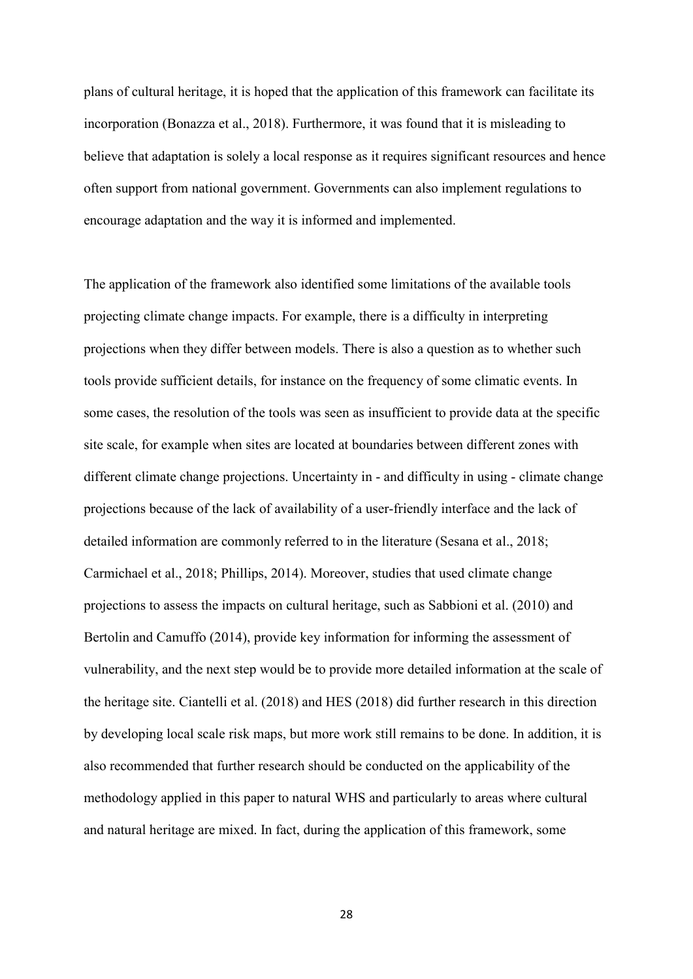plans of cultural heritage, it is hoped that the application of this framework can facilitate its incorporation (Bonazza et al., 2018). Furthermore, it was found that it is misleading to believe that adaptation is solely a local response as it requires significant resources and hence often support from national government. Governments can also implement regulations to encourage adaptation and the way it is informed and implemented.

The application of the framework also identified some limitations of the available tools projecting climate change impacts. For example, there is a difficulty in interpreting projections when they differ between models. There is also a question as to whether such tools provide sufficient details, for instance on the frequency of some climatic events. In some cases, the resolution of the tools was seen as insufficient to provide data at the specific site scale, for example when sites are located at boundaries between different zones with different climate change projections. Uncertainty in - and difficulty in using - climate change projections because of the lack of availability of a user-friendly interface and the lack of detailed information are commonly referred to in the literature (Sesana et al., 2018; Carmichael et al., 2018; Phillips, 2014). Moreover, studies that used climate change projections to assess the impacts on cultural heritage, such as Sabbioni et al. (2010) and Bertolin and Camuffo (2014), provide key information for informing the assessment of vulnerability, and the next step would be to provide more detailed information at the scale of the heritage site. Ciantelli et al. (2018) and HES (2018) did further research in this direction by developing local scale risk maps, but more work still remains to be done. In addition, it is also recommended that further research should be conducted on the applicability of the methodology applied in this paper to natural WHS and particularly to areas where cultural and natural heritage are mixed. In fact, during the application of this framework, some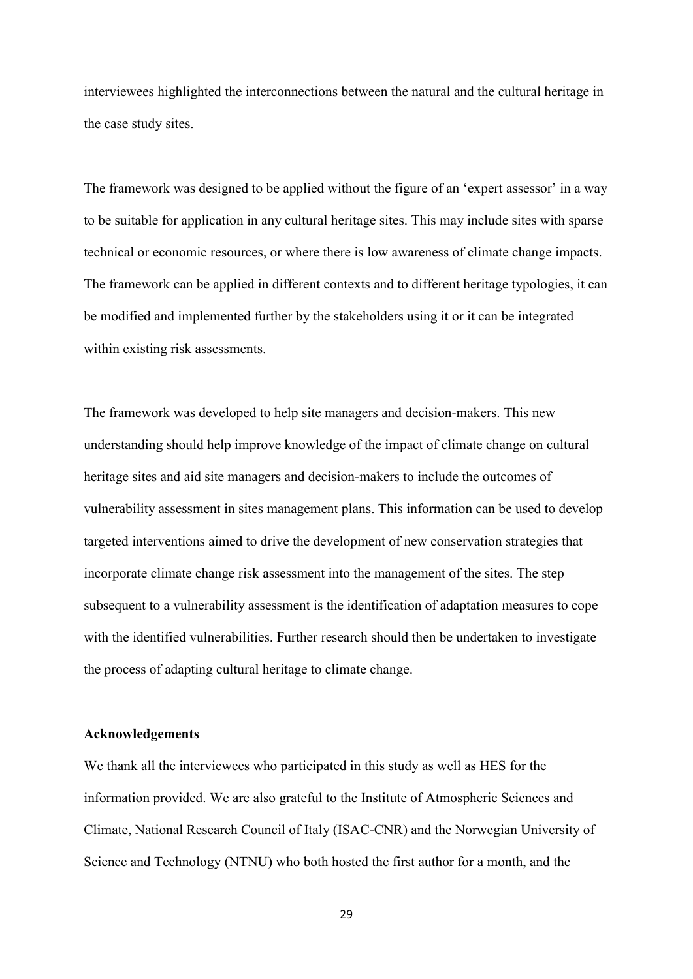interviewees highlighted the interconnections between the natural and the cultural heritage in the case study sites.

The framework was designed to be applied without the figure of an 'expert assessor' in a way to be suitable for application in any cultural heritage sites. This may include sites with sparse technical or economic resources, or where there is low awareness of climate change impacts. The framework can be applied in different contexts and to different heritage typologies, it can be modified and implemented further by the stakeholders using it or it can be integrated within existing risk assessments.

The framework was developed to help site managers and decision-makers. This new understanding should help improve knowledge of the impact of climate change on cultural heritage sites and aid site managers and decision-makers to include the outcomes of vulnerability assessment in sites management plans. This information can be used to develop targeted interventions aimed to drive the development of new conservation strategies that incorporate climate change risk assessment into the management of the sites. The step subsequent to a vulnerability assessment is the identification of adaptation measures to cope with the identified vulnerabilities. Further research should then be undertaken to investigate the process of adapting cultural heritage to climate change.

#### **Acknowledgements**

We thank all the interviewees who participated in this study as well as HES for the information provided. We are also grateful to the Institute of Atmospheric Sciences and Climate, National Research Council of Italy (ISAC-CNR) and the Norwegian University of Science and Technology (NTNU) who both hosted the first author for a month, and the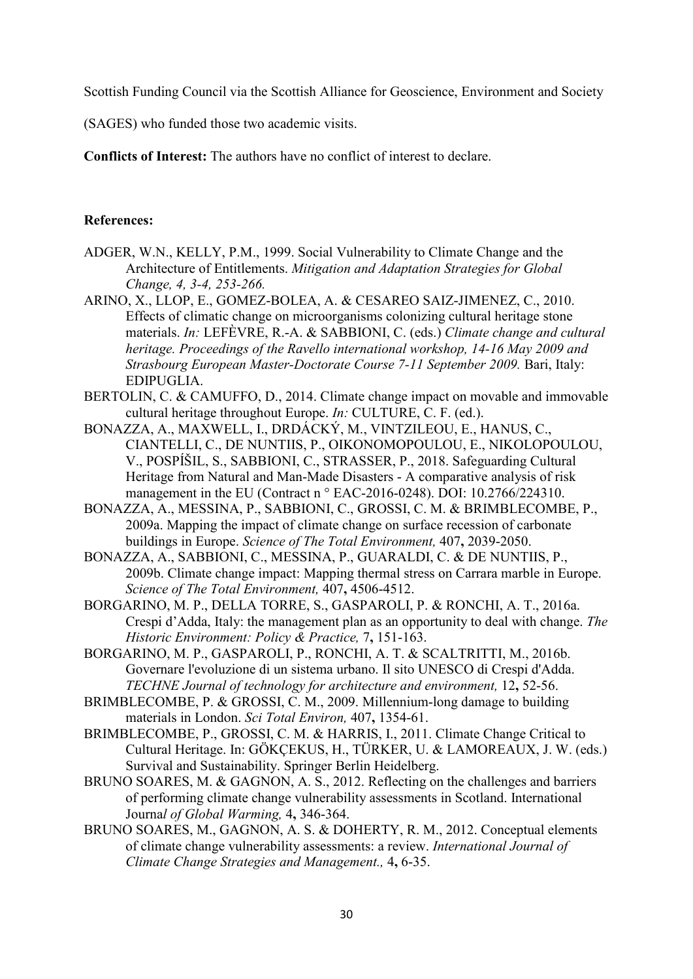Scottish Funding Council via the Scottish Alliance for Geoscience, Environment and Society

(SAGES) who funded those two academic visits.

**Conflicts of Interest:** The authors have no conflict of interest to declare.

## **References:**

- ADGER, W.N., KELLY, P.M., 1999. Social Vulnerability to Climate Change and the Architecture of Entitlements. *Mitigation and Adaptation Strategies for Global Change, 4, 3-4, 253-266.*
- ARINO, X., LLOP, E., GOMEZ-BOLEA, A. & CESAREO SAIZ-JIMENEZ, C., 2010. Effects of climatic change on microorganisms colonizing cultural heritage stone materials. *In:* LEFÈVRE, R.-A. & SABBIONI, C. (eds.) *Climate change and cultural heritage. Proceedings of the Ravello international workshop, 14-16 May 2009 and Strasbourg European Master-Doctorate Course 7-11 September 2009.* Bari, Italy: EDIPUGLIA.
- BERTOLIN, C. & CAMUFFO, D., 2014. Climate change impact on movable and immovable cultural heritage throughout Europe. *In:* CULTURE, C. F. (ed.).
- BONAZZA, A., MAXWELL, I., DRDÁCKÝ, M., VINTZILEOU, E., HANUS, C., CIANTELLI, C., DE NUNTIIS, P., OIKONOMOPOULOU, E., NIKOLOPOULOU, V., POSPÍŠIL, S., SABBIONI, C., STRASSER, P., 2018. Safeguarding Cultural Heritage from Natural and Man-Made Disasters - A comparative analysis of risk management in the EU (Contract n ° EAC-2016-0248). DOI: 10.2766/224310.
- BONAZZA, A., MESSINA, P., SABBIONI, C., GROSSI, C. M. & BRIMBLECOMBE, P., 2009a. Mapping the impact of climate change on surface recession of carbonate buildings in Europe. *Science of The Total Environment,* 407**,** 2039-2050.
- BONAZZA, A., SABBIONI, C., MESSINA, P., GUARALDI, C. & DE NUNTIIS, P., 2009b. Climate change impact: Mapping thermal stress on Carrara marble in Europe. *Science of The Total Environment,* 407**,** 4506-4512.
- BORGARINO, M. P., DELLA TORRE, S., GASPAROLI, P. & RONCHI, A. T., 2016a. Crespi d'Adda, Italy: the management plan as an opportunity to deal with change. *The Historic Environment: Policy & Practice,* 7**,** 151-163.
- BORGARINO, M. P., GASPAROLI, P., RONCHI, A. T. & SCALTRITTI, M., 2016b. Governare l'evoluzione di un sistema urbano. Il sito UNESCO di Crespi d'Adda. *TECHNE Journal of technology for architecture and environment,* 12**,** 52-56.
- BRIMBLECOMBE, P. & GROSSI, C. M., 2009. Millennium-long damage to building materials in London. *Sci Total Environ,* 407**,** 1354-61.
- BRIMBLECOMBE, P., GROSSI, C. M. & HARRIS, I., 2011. Climate Change Critical to Cultural Heritage. In: GÖKÇEKUS, H., TÜRKER, U. & LAMOREAUX, J. W. (eds.) Survival and Sustainability. Springer Berlin Heidelberg.
- BRUNO SOARES, M. & GAGNON, A. S., 2012. Reflecting on the challenges and barriers of performing climate change vulnerability assessments in Scotland. International Journa*l of Global Warming,* 4**,** 346-364.
- BRUNO SOARES, M., GAGNON, A. S. & DOHERTY, R. M., 2012. Conceptual elements of climate change vulnerability assessments: a review. *International Journal of Climate Change Strategies and Management.,* 4**,** 6-35.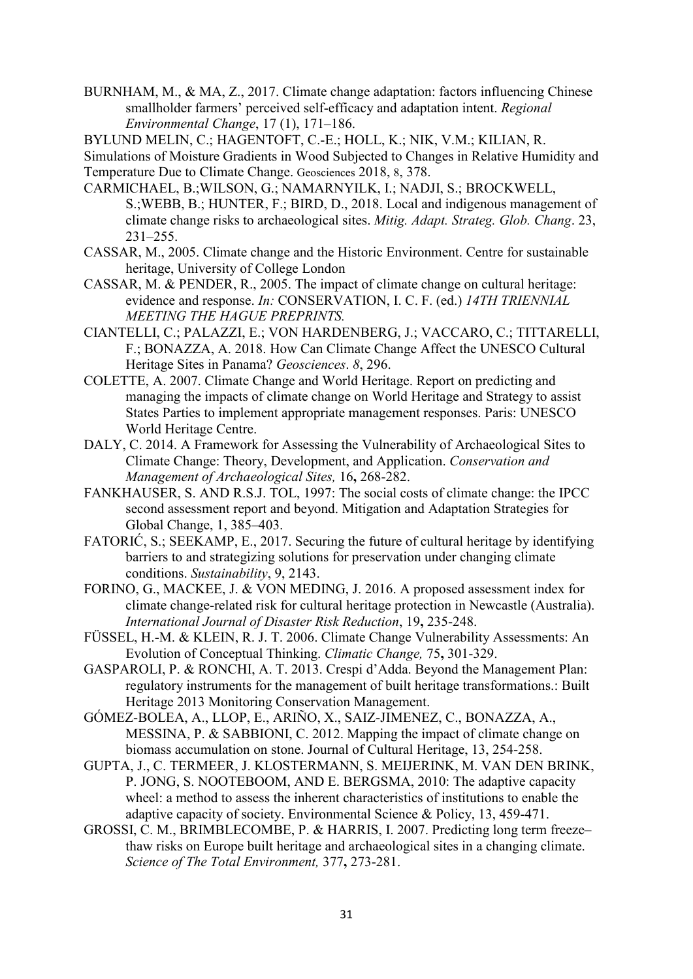BURNHAM, M., & MA, Z., 2017. Climate change adaptation: factors influencing Chinese smallholder farmers' perceived self-efficacy and adaptation intent. *Regional Environmental Change*, 17 (1), 171–186.

BYLUND MELIN, C.; HAGENTOFT, C.-E.; HOLL, K.; NIK, V.M.; KILIAN, R.

Simulations of Moisture Gradients in Wood Subjected to Changes in Relative Humidity and Temperature Due to Climate Change. Geosciences 2018, 8, 378.

- CARMICHAEL, B.;WILSON, G.; NAMARNYILK, I.; NADJI, S.; BROCKWELL, S.;WEBB, B.; HUNTER, F.; BIRD, D., 2018. Local and indigenous management of climate change risks to archaeological sites. *Mitig. Adapt. Strateg. Glob. Chang*. 23, 231–255.
- CASSAR, M., 2005. Climate change and the Historic Environment. Centre for sustainable heritage, University of College London
- CASSAR, M. & PENDER, R., 2005. The impact of climate change on cultural heritage: evidence and response. *In:* CONSERVATION, I. C. F. (ed.) *14TH TRIENNIAL MEETING THE HAGUE PREPRINTS.*
- CIANTELLI, C.; PALAZZI, E.; VON HARDENBERG, J.; VACCARO, C.; TITTARELLI, F.; BONAZZA, A. 2018. How Can Climate Change Affect the UNESCO Cultural Heritage Sites in Panama? *Geosciences*. *8*, 296.
- COLETTE, A. 2007. Climate Change and World Heritage. Report on predicting and managing the impacts of climate change on World Heritage and Strategy to assist States Parties to implement appropriate management responses. Paris: UNESCO World Heritage Centre.
- DALY, C. 2014. A Framework for Assessing the Vulnerability of Archaeological Sites to Climate Change: Theory, Development, and Application. *Conservation and Management of Archaeological Sites,* 16**,** 268-282.
- FANKHAUSER, S. AND R.S.J. TOL, 1997: The social costs of climate change: the IPCC second assessment report and beyond. Mitigation and Adaptation Strategies for Global Change, 1, 385–403.
- FATORIĆ, S.; SEEKAMP, E., 2017. Securing the future of cultural heritage by identifying barriers to and strategizing solutions for preservation under changing climate conditions. *Sustainability*, 9, 2143.
- FORINO, G., MACKEE, J. & VON MEDING, J. 2016. A proposed assessment index for climate change-related risk for cultural heritage protection in Newcastle (Australia). *International Journal of Disaster Risk Reduction*, 19**,** 235-248.
- FÜSSEL, H.-M. & KLEIN, R. J. T. 2006. Climate Change Vulnerability Assessments: An Evolution of Conceptual Thinking. *Climatic Change,* 75**,** 301-329.
- GASPAROLI, P. & RONCHI, A. T. 2013. Crespi d'Adda. Beyond the Management Plan: regulatory instruments for the management of built heritage transformations.: Built Heritage 2013 Monitoring Conservation Management.
- GÓMEZ-BOLEA, A., LLOP, E., ARIÑO, X., SAIZ-JIMENEZ, C., BONAZZA, A., MESSINA, P. & SABBIONI, C. 2012. Mapping the impact of climate change on biomass accumulation on stone. Journal of Cultural Heritage, 13, 254-258.
- GUPTA, J., C. TERMEER, J. KLOSTERMANN, S. MEIJERINK, M. VAN DEN BRINK, P. JONG, S. NOOTEBOOM, AND E. BERGSMA, 2010: The adaptive capacity wheel: a method to assess the inherent characteristics of institutions to enable the adaptive capacity of society. Environmental Science & Policy, 13, 459-471.
- GROSSI, C. M., BRIMBLECOMBE, P. & HARRIS, I. 2007. Predicting long term freeze– thaw risks on Europe built heritage and archaeological sites in a changing climate. *Science of The Total Environment,* 377**,** 273-281.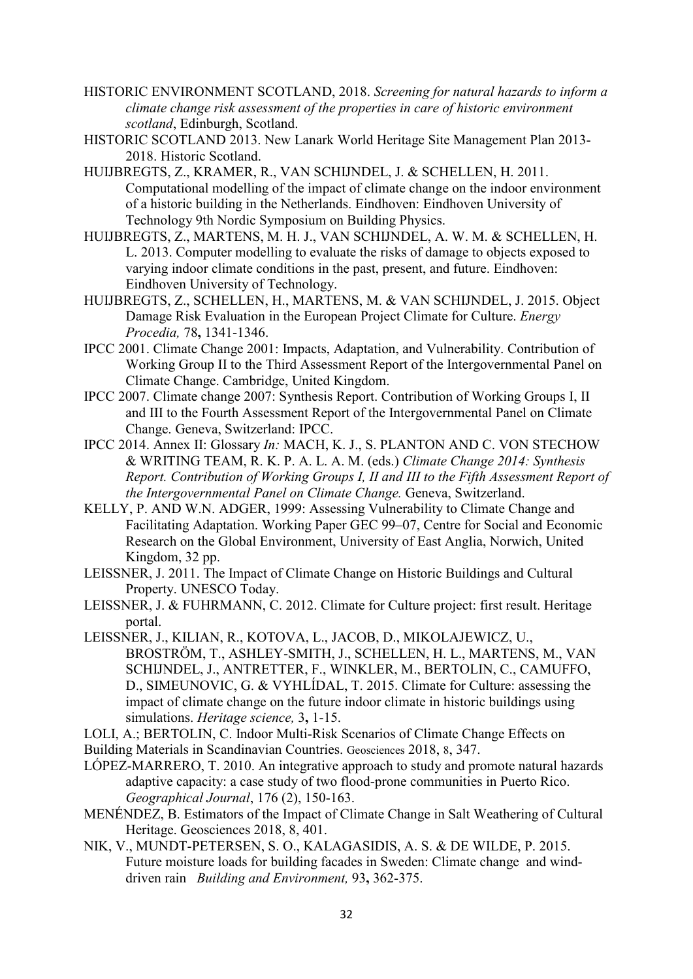- HISTORIC ENVIRONMENT SCOTLAND, 2018. *Screening for natural hazards to inform a climate change risk assessment of the properties in care of historic environment scotland*, Edinburgh, Scotland.
- HISTORIC SCOTLAND 2013. New Lanark World Heritage Site Management Plan 2013- 2018. Historic Scotland.
- HUIJBREGTS, Z., KRAMER, R., VAN SCHIJNDEL, J. & SCHELLEN, H. 2011. Computational modelling of the impact of climate change on the indoor environment of a historic building in the Netherlands. Eindhoven: Eindhoven University of Technology 9th Nordic Symposium on Building Physics.
- HUIJBREGTS, Z., MARTENS, M. H. J., VAN SCHIJNDEL, A. W. M. & SCHELLEN, H. L. 2013. Computer modelling to evaluate the risks of damage to objects exposed to varying indoor climate conditions in the past, present, and future. Eindhoven: Eindhoven University of Technology.
- HUIJBREGTS, Z., SCHELLEN, H., MARTENS, M. & VAN SCHIJNDEL, J. 2015. Object Damage Risk Evaluation in the European Project Climate for Culture. *Energy Procedia,* 78**,** 1341-1346.
- IPCC 2001. Climate Change 2001: Impacts, Adaptation, and Vulnerability. Contribution of Working Group II to the Third Assessment Report of the Intergovernmental Panel on Climate Change. Cambridge, United Kingdom.
- IPCC 2007. Climate change 2007: Synthesis Report. Contribution of Working Groups I, II and III to the Fourth Assessment Report of the Intergovernmental Panel on Climate Change. Geneva, Switzerland: IPCC.
- IPCC 2014. Annex II: Glossary *In:* MACH, K. J., S. PLANTON AND C. VON STECHOW & WRITING TEAM, R. K. P. A. L. A. M. (eds.) *Climate Change 2014: Synthesis Report. Contribution of Working Groups I, II and III to the Fifth Assessment Report of the Intergovernmental Panel on Climate Change.* Geneva, Switzerland.
- KELLY, P. AND W.N. ADGER, 1999: Assessing Vulnerability to Climate Change and Facilitating Adaptation. Working Paper GEC 99–07, Centre for Social and Economic Research on the Global Environment, University of East Anglia, Norwich, United Kingdom, 32 pp.
- LEISSNER, J. 2011. The Impact of Climate Change on Historic Buildings and Cultural Property. UNESCO Today.
- LEISSNER, J. & FUHRMANN, C. 2012. Climate for Culture project: first result. Heritage portal.
- LEISSNER, J., KILIAN, R., KOTOVA, L., JACOB, D., MIKOLAJEWICZ, U., BROSTRÖM, T., ASHLEY-SMITH, J., SCHELLEN, H. L., MARTENS, M., VAN SCHIJNDEL, J., ANTRETTER, F., WINKLER, M., BERTOLIN, C., CAMUFFO, D., SIMEUNOVIC, G. & VYHLÍDAL, T. 2015. Climate for Culture: assessing the impact of climate change on the future indoor climate in historic buildings using simulations. *Heritage science,* 3**,** 1-15.
- LOLI, A.; BERTOLIN, C. Indoor Multi-Risk Scenarios of Climate Change Effects on
- Building Materials in Scandinavian Countries. Geosciences 2018, 8, 347.
- LÓPEZ‐MARRERO, T. 2010. An integrative approach to study and promote natural hazards adaptive capacity: a case study of two flood‐prone communities in Puerto Rico. *Geographical Journal*, 176 (2), 150-163.
- MENÉNDEZ, B. Estimators of the Impact of Climate Change in Salt Weathering of Cultural Heritage. Geosciences 2018, 8, 401.
- NIK, V., MUNDT-PETERSEN, S. O., KALAGASIDIS, A. S. & DE WILDE, P. 2015. Future moisture loads for building facades in Sweden: Climate change and winddriven rain *Building and Environment,* 93**,** 362-375.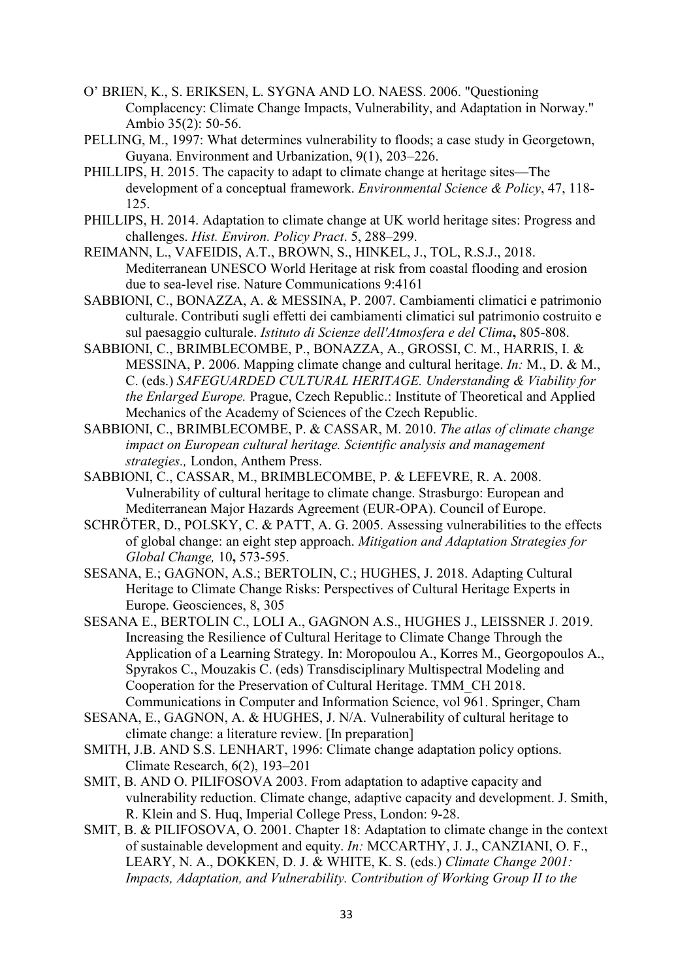- O' BRIEN, K., S. ERIKSEN, L. SYGNA AND LO. NAESS. 2006. "Questioning Complacency: Climate Change Impacts, Vulnerability, and Adaptation in Norway." Ambio 35(2): 50-56.
- PELLING, M., 1997: What determines vulnerability to floods; a case study in Georgetown, Guyana. Environment and Urbanization, 9(1), 203–226.
- PHILLIPS, H. 2015. The capacity to adapt to climate change at heritage sites—The development of a conceptual framework. *Environmental Science & Policy*, 47, 118- 125.
- PHILLIPS, H. 2014. Adaptation to climate change at UK world heritage sites: Progress and challenges. *Hist. Environ. Policy Pract*. 5, 288–299.
- REIMANN, L., VAFEIDIS, A.T., BROWN, S., HINKEL, J., TOL, R.S.J., 2018. Mediterranean UNESCO World Heritage at risk from coastal flooding and erosion due to sea-level rise. Nature Communications 9:4161
- SABBIONI, C., BONAZZA, A. & MESSINA, P. 2007. Cambiamenti climatici e patrimonio culturale. Contributi sugli effetti dei cambiamenti climatici sul patrimonio costruito e sul paesaggio culturale. *Istituto di Scienze dell'Atmosfera e del Clima***,** 805-808.
- SABBIONI, C., BRIMBLECOMBE, P., BONAZZA, A., GROSSI, C. M., HARRIS, I. & MESSINA, P. 2006. Mapping climate change and cultural heritage. *In:* M., D. & M., C. (eds.) *SAFEGUARDED CULTURAL HERITAGE. Understanding & Viability for the Enlarged Europe.* Prague, Czech Republic.: Institute of Theoretical and Applied Mechanics of the Academy of Sciences of the Czech Republic.
- SABBIONI, C., BRIMBLECOMBE, P. & CASSAR, M. 2010. *The atlas of climate change impact on European cultural heritage. Scientific analysis and management strategies.,* London, Anthem Press.
- SABBIONI, C., CASSAR, M., BRIMBLECOMBE, P. & LEFEVRE, R. A. 2008. Vulnerability of cultural heritage to climate change. Strasburgo: European and Mediterranean Major Hazards Agreement (EUR-OPA). Council of Europe.
- SCHRÖTER, D., POLSKY, C. & PATT, A. G. 2005. Assessing vulnerabilities to the effects of global change: an eight step approach. *Mitigation and Adaptation Strategies for Global Change,* 10**,** 573-595.
- SESANA, E.; GAGNON, A.S.; BERTOLIN, C.; HUGHES, J. 2018. Adapting Cultural Heritage to Climate Change Risks: Perspectives of Cultural Heritage Experts in Europe. Geosciences, 8, 305
- SESANA E., BERTOLIN C., LOLI A., GAGNON A.S., HUGHES J., LEISSNER J. 2019. Increasing the Resilience of Cultural Heritage to Climate Change Through the Application of a Learning Strategy. In: Moropoulou A., Korres M., Georgopoulos A., Spyrakos C., Mouzakis C. (eds) Transdisciplinary Multispectral Modeling and Cooperation for the Preservation of Cultural Heritage. TMM\_CH 2018. Communications in Computer and Information Science, vol 961. Springer, Cham
- SESANA, E., GAGNON, A. & HUGHES, J. N/A. Vulnerability of cultural heritage to climate change: a literature review. [In preparation]
- SMITH, J.B. AND S.S. LENHART, 1996: Climate change adaptation policy options. Climate Research, 6(2), 193–201
- SMIT, B. AND O. PILIFOSOVA 2003. From adaptation to adaptive capacity and vulnerability reduction. Climate change, adaptive capacity and development. J. Smith, R. Klein and S. Huq, Imperial College Press, London: 9-28.
- SMIT, B. & PILIFOSOVA, O. 2001. Chapter 18: Adaptation to climate change in the context of sustainable development and equity. *In:* MCCARTHY, J. J., CANZIANI, O. F., LEARY, N. A., DOKKEN, D. J. & WHITE, K. S. (eds.) *Climate Change 2001: Impacts, Adaptation, and Vulnerability. Contribution of Working Group II to the*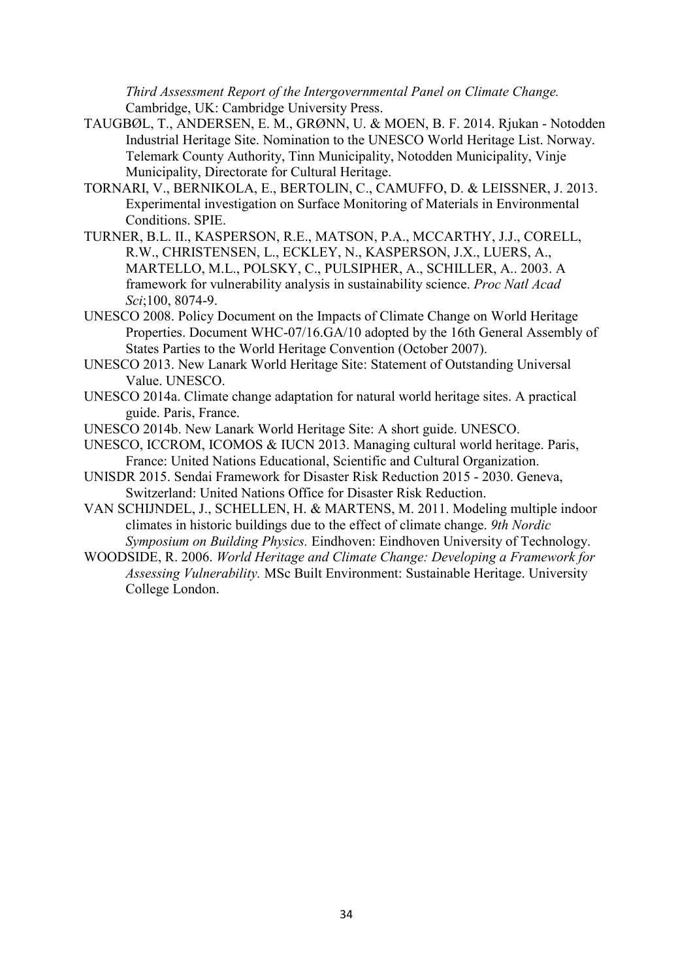*Third Assessment Report of the Intergovernmental Panel on Climate Change.* Cambridge, UK: Cambridge University Press.

- TAUGBØL, T., ANDERSEN, E. M., GRØNN, U. & MOEN, B. F. 2014. Rjukan Notodden Industrial Heritage Site. Nomination to the UNESCO World Heritage List. Norway. Telemark County Authority, Tinn Municipality, Notodden Municipality, Vinje Municipality, Directorate for Cultural Heritage.
- TORNARI, V., BERNIKOLA, E., BERTOLIN, C., CAMUFFO, D. & LEISSNER, J. 2013. Experimental investigation on Surface Monitoring of Materials in Environmental Conditions. SPIE.
- TURNER, B.L. II., KASPERSON, R.E., MATSON, P.A., MCCARTHY, J.J., CORELL, R.W., CHRISTENSEN, L., ECKLEY, N., KASPERSON, J.X., LUERS, A., MARTELLO, M.L., POLSKY, C., PULSIPHER, A., SCHILLER, A.. 2003. A framework for vulnerability analysis in sustainability science. *Proc Natl Acad Sci*;100, 8074-9.
- UNESCO 2008. Policy Document on the Impacts of Climate Change on World Heritage Properties. Document WHC-07/16.GA/10 adopted by the 16th General Assembly of States Parties to the World Heritage Convention (October 2007).
- UNESCO 2013. New Lanark World Heritage Site: Statement of Outstanding Universal Value. UNESCO.
- UNESCO 2014a. Climate change adaptation for natural world heritage sites. A practical guide. Paris, France.
- UNESCO 2014b. New Lanark World Heritage Site: A short guide. UNESCO.
- UNESCO, ICCROM, ICOMOS & IUCN 2013. Managing cultural world heritage. Paris, France: United Nations Educational, Scientific and Cultural Organization.
- UNISDR 2015. Sendai Framework for Disaster Risk Reduction 2015 2030. Geneva, Switzerland: United Nations Office for Disaster Risk Reduction.
- VAN SCHIJNDEL, J., SCHELLEN, H. & MARTENS, M. 2011. Modeling multiple indoor climates in historic buildings due to the effect of climate change. *9th Nordic Symposium on Building Physics.* Eindhoven: Eindhoven University of Technology.
- WOODSIDE, R. 2006. *World Heritage and Climate Change: Developing a Framework for Assessing Vulnerability.* MSc Built Environment: Sustainable Heritage. University College London.